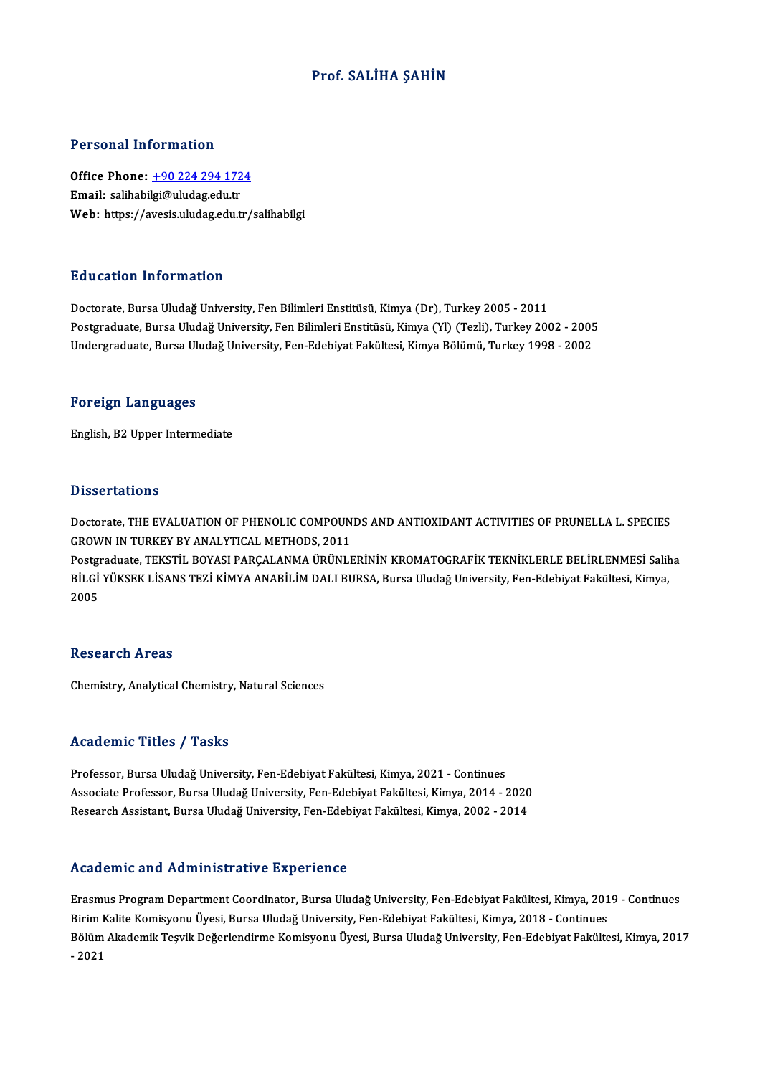### Prof. SALİHA ŞAHİN

#### Personal Information

Personal Information<br>Office Phone: <u>+90 224 294 1724</u><br>Email: salibabilgi@uludag.edu.tr 1 STSSMATHISTMARISH<br>Office Phone: <u>+90 224 294 172</u><br>Email: salihabi[lgi@uludag.edu.tr](tel:+90 224 294 1724) Email: salihabilgi@uludag.edu.tr<br>Web: https://avesis.uludag.edu.tr/salihabilgi

#### Education Information

Doctorate, Bursa Uludağ University, Fen Bilimleri Enstitüsü, Kimya (Dr), Turkey 2005 - 2011 Pu u sutrom minominusion<br>Doctorate, Bursa Uludağ University, Fen Bilimleri Enstitüsü, Kimya (Dr), Turkey 2005 - 2011<br>Postgraduate, Bursa Uludağ University, Fen Bilimleri Enstitüsü, Kimya (Yl) (Tezli), Turkey 2002 - 2005<br>Un Doctorate, Bursa Uludağ University, Fen Bilimleri Enstitüsü, Kimya (Dr), Turkey 2005 - 2011<br>Postgraduate, Bursa Uludağ University, Fen Bilimleri Enstitüsü, Kimya (Yl) (Tezli), Turkey 2002 - 2005<br>Undergraduate, Bursa Uludağ Undergraduate, Bursa Uludağ University, Fen-Edebiyat Fakültesi, Kimya Bölümü, Turkey 1998 - 2002<br>Foreign Languages

English,B2Upper Intermediate

#### **Dissertations**

Dissertations<br>Doctorate, THE EVALUATION OF PHENOLIC COMPOUNDS AND ANTIOXIDANT ACTIVITIES OF PRUNELLA L. SPECIES<br>CROWN IN TURKEY BY ANALYTICAL METHODS 2011 BROOK CENTRE<br>Doctorate, THE EVALUATION OF PHENOLIC COMPOUN<br>GROWN IN TURKEY BY ANALYTICAL METHODS, 2011<br>Bostanalyte, TEKSTU, POVASI BARCALANMA ÜBÜNLE GROWN IN TURKEY BY ANALYTICAL METHODS, 2011<br>Postgraduate, TEKSTİL BOYASI PARÇALANMA ÜRÜNLERİNİN KROMATOGRAFİK TEKNİKLERLE BELİRLENMESİ Saliha

GROWN IN TURKEY BY ANALYTICAL METHODS, 2011<br>Postgraduate, TEKSTİL BOYASI PARÇALANMA ÜRÜNLERİNİN KROMATOGRAFİK TEKNİKLERLE BELİRLENMESİ Salil<br>BİLGİ YÜKSEK LİSANS TEZİ KİMYA ANABİLİM DALI BURSA, Bursa Uludağ University, Fen-Postgı<br>BİLGİ<br>2005 2005<br>Research Areas

Chemistry, Analytical Chemistry, Natural Sciences

#### Academic Titles / Tasks

Professor, Bursa Uludağ University, Fen-Edebiyat Fakültesi, Kimya, 2021 - Continues -<br>Professor, Bursa Uludağ University, Fen-Edebiyat Fakültesi, Kimya, 2021 - Continues<br>Associate Professor, Bursa Uludağ University, Fen-Edebiyat Fakültesi, Kimya, 2014 - 2020<br>Besearsh Assistant, Bursa Uludağ University, Fe Professor, Bursa Uludağ University, Fen-Edebiyat Fakültesi, Kimya, 2021 - Continues<br>Associate Professor, Bursa Uludağ University, Fen-Edebiyat Fakültesi, Kimya, 2014 - 2020<br>Research Assistant, Bursa Uludağ University, Fen-Research Assistant, Bursa Uludağ University, Fen-Edebiyat Fakültesi, Kimya, 2002 - 2014<br>Academic and Administrative Experience

Erasmus Program Department Coordinator, Bursa Uludağ University, Fen-Edebiyat Fakültesi, Kimya, 2019 - Continues Birim Kalite Komisyonu Üyesi, Bursa Uludağ University, Fen-Edebiyat Fakültesi, Kimya, 2018 - Continues Erasmus Program Department Coordinator, Bursa Uludağ University, Fen-Edebiyat Fakültesi, Kimya, 2019 - Continues<br>Birim Kalite Komisyonu Üyesi, Bursa Uludağ University, Fen-Edebiyat Fakültesi, Kimya, 2018 - Continues<br>Bölüm Birim K<br>Bölüm<br>- 2021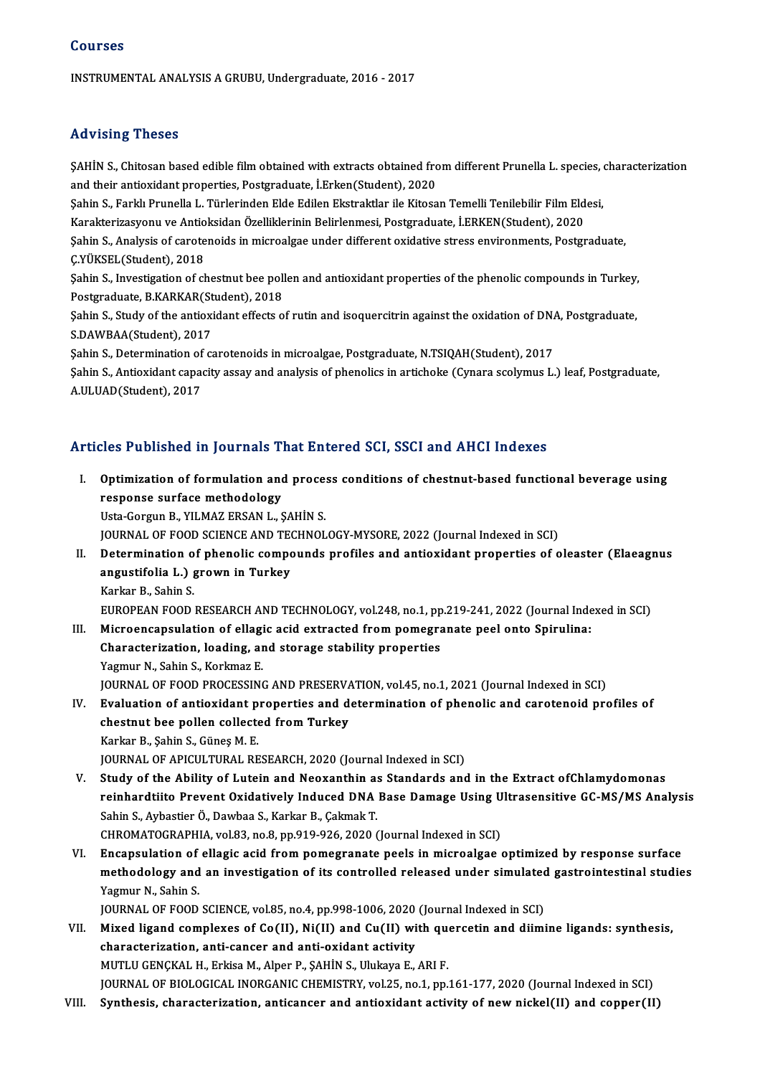INSTRUMENTALANALYSISAGRUBU,Undergraduate,2016 -2017

### Advising Theses

Advising Theses<br>ŞAHİN S., Chitosan based edible film obtained with extracts obtained from different Prunella L. species, characterization<br>and their entiquidant properties, Bestereduate, LErken(Student), 2020 and viering a riceces<br>SAHİN S., Chitosan based edible film obtained with extracts obtained fro<br>and their antioxidant properties, Postgraduate, İ.Erken(Student), 2020<br>Sebin S. Ferkk Prunella J. Türkerinden Elde Edilen Ekstr ŞAHİN S., Chitosan based edible film obtained with extracts obtained from different Prunella L. species, of and their antioxidant properties, Postgraduate, İ.Erken(Student), 2020<br>Şahin S., Farklı Prunella L. Türlerinden El

and their antioxidant properties, Postgraduate, İ.Erken(Student), 2020<br>Şahin S., Farklı Prunella L. Türlerinden Elde Edilen Ekstraktlar ile Kitosan Temelli Tenilebilir Film Eld<br>Karakterizasyonu ve Antioksidan Özelliklerini

Şahin S., Farklı Prunella L. Türlerinden Elde Edilen Ekstraktlar ile Kitosan Temelli Tenilebilir Film Eldesi,<br>Karakterizasyonu ve Antioksidan Özelliklerinin Belirlenmesi, Postgraduate, İ.ERKEN(Student), 2020<br>Şahin S., Anal Karakterizasyonu ve Antio<br>Şahin S., Analysis of carote<br>Ç.YÜKSEL(Student), 2018<br>Sahin S. Investigation of sh Şahin S., Analysis of carotenoids in microalgae under different oxidative stress environments, Postgraduate,<br>Ç.YÜKSEL(Student), 2018<br>Şahin S., Investigation of chestnut bee pollen and antioxidant properties of the phenolic

C.YÜKSEL(Student), 2018<br>Şahin S., Investigation of chestnut bee poll<br>Postgraduate, B.KARKAR(Student), 2018<br>Sehin S. Study of the antiovidant effects o Şahin S., Investigation of chestnut bee pollen and antioxidant properties of the phenolic compounds in Turkey,<br>Postgraduate, B.KARKAR(Student), 2018<br>Şahin S., Study of the antioxidant effects of rutin and isoquercitrin aga

Postgraduate, B.KARKAR(St)<br>Şahin S., Study of the antioxi<br>S.DAWBAA(Student), 2017<br>Sahin S. Datarmination of *s* Sahin S., Study of the antioxidant effects of rutin and isoquercitrin against the oxidation of DNA<br>S.DAWBAA(Student), 2017<br>Sahin S., Determination of carotenoids in microalgae, Postgraduate, N.TSIQAH(Student), 2017<br>Sahin S

S.DAWBAA(Student), 2017<br>Şahin S., Determination of carotenoids in microalgae, Postgraduate, N.TSIQAH(Student), 2017<br>Şahin S., Antioxidant capacity assay and analysis of phenolics in artichoke (Cynara scolymus L.) leaf, Pos Şahin S., Determination of<br>Şahin S., Antioxidant capa<br>A.ULUAD(Student), 2017

# A.ULUAD(Student), 2017<br>Articles Published in Journals That Entered SCI, SSCI and AHCI Indexes

rticles Published in Journals That Entered SCI, SSCI and AHCI Indexes<br>I. Optimization of formulation and process conditions of chestnut-based functional beverage using<br>response surface methodology response surface in Journalis 19<br>Optimization of formulation and<br>Heta Corgue B, VII MAZ ERSAN L, S **Optimization of formulation and proce:<br>response surface methodology<br>Usta-Gorgun B., YILMAZ ERSAN L., ŞAHİN S.<br>JOUPMAL OF FOOD SCIENCE AND TECUNOL** response surface methodology<br>Usta-Gorgun B., YILMAZ ERSAN L., ŞAHİN S.<br>JOURNAL OF FOOD SCIENCE AND TECHNOLOGY-MYSORE, 2022 (Journal Indexed in SCI)<br>Determination of phenolis sempeunds prefiles and antioxident preparties of Usta-Gorgun B., YILMAZ ERSAN L., ŞAHİN S.<br>JOURNAL OF FOOD SCIENCE AND TECHNOLOGY-MYSORE, 2022 (Journal Indexed in SCI)<br>II. Determination of phenolic compounds profiles and antioxidant properties of oleaster (Elaeagnus<br>Angu JOURNAL OF FOOD SCIENCE AND TE<br>Determination of phenolic compo<br>angustifolia L.) grown in Turkey<br>Karliar B. Sobin S. **Determination o<br>angustifolia L.) {<br>Karkar B., Sahin S.<br>EUROPEAN EOOD.** angustifolia L.) grown in Turkey<br>Karkar B., Sahin S.<br>EUROPEAN FOOD RESEARCH AND TECHNOLOGY, vol.248, no.1, pp.219-241, 2022 (Journal Indexed in SCI)<br>Misroeneaneulation of ellegie esid extrested from nomegranate neel ento S Karkar B., Sahin S.<br>EUROPEAN FOOD RESEARCH AND TECHNOLOGY, vol.248, no.1, pp.219-241, 2022 (Journal Inde<br>III. Microencapsulation of ellagic acid extracted from pomegranate peel onto Spirulina:<br>Characterization loading, and EUROPEAN FOOD RESEARCH AND TECHNOLOGY, vol.248, no.1, pp<br>Microencapsulation of ellagic acid extracted from pomegra<br>Characterization, loading, and storage stability properties<br>Yagmur N. Sabin S. Korlmaz F III. Microencapsulation of ellagic acid extracted from pomegranate peel onto Spirulina:<br>Characterization, loading, and storage stability properties<br>Yagmur N., Sahin S., Korkmaz E. Characterization, loading, and storage stability properties<br>Yagmur N., Sahin S., Korkmaz E.<br>JOURNAL OF FOOD PROCESSING AND PRESERVATION, vol.45, no.1, 2021 (Journal Indexed in SCI)<br>Evaluation of antioxidant properties and Yagmur N., Sahin S., Korkmaz E.<br>JOURNAL OF FOOD PROCESSING AND PRESERVATION, vol.45, no.1, 2021 (Journal Indexed in SCI)<br>IV. Evaluation of antioxidant properties and determination of phenolic and carotenoid profiles of<br>cha JOURNAL OF FOOD PROCESSING AND PRESERVA<br>Evaluation of antioxidant properties and d<br>chestnut bee pollen collected from Turkey<br>Karkar B. Sobin S. Günes M. E Evaluation of antioxidant p<br>chestnut bee pollen collecte<br>Karkar B., Şahin S., Güneş M. E.<br>JOUPMAL OF APICULTURAL PE chestnut bee pollen collected from Turkey<br>Karkar B., Şahin S., Güneş M. E.<br>JOURNAL OF APICULTURAL RESEARCH, 2020 (Journal Indexed in SCI) V. Study of the Ability of Lutein and Neoxanthin as Standards and in the Extract ofChlamydomonas JOURNAL OF APICULTURAL RESEARCH, 2020 (Journal Indexed in SCI)<br>Study of the Ability of Lutein and Neoxanthin as Standards and in the Extract ofChlamydomonas<br>reinhardtiito Prevent Oxidatively Induced DNA Base Damage Using U Study of the Ability of Lutein and Neoxanthin as<br>reinhardtiito Prevent Oxidatively Induced DNA<br>Sahin S., Aybastier Ö., Dawbaa S., Karkar B., Çakmak T.<br>CHROMATOCRABHIA vol 83, no 8, np 919, 936, 2920 (

reinhardtiito Prevent Oxidatively Induced DNA Base Damage Using U<br>Sahin S., Aybastier Ö., Dawbaa S., Karkar B., Çakmak T.<br>CHROMATOGRAPHIA, vol.83, no.8, pp.919-926, 2020 (Journal Indexed in SCI)<br>Enconculation of ellegic ac

Sahin S., Aybastier Ö., Dawbaa S., Karkar B., Çakmak T.<br>CHROMATOGRAPHIA, vol.83, no.8, pp.919-926, 2020 (Journal Indexed in SCI)<br>VI. Encapsulation of ellagic acid from pomegranate peels in microalgae optimized by respo CHROMATOGRAPHIA, vol.83, no.8, pp.919-926, 2020 (Journal Indexed in SCI)<br>Encapsulation of ellagic acid from pomegranate peels in microalgae optimized by response surface<br>methodology and an investigation of its controlled r Encapsulation of<br>methodology and<br>Yagmur N., Sahin S.<br>JOUPNAL OF FOOD methodology and an investigation of its controlled released under simulated<br>Yagmur N., Sahin S.<br>JOURNAL OF FOOD SCIENCE, vol.85, no.4, pp.998-1006, 2020 (Journal Indexed in SCI)<br>Mived ligand complayes of Co(II), Ni(II) and

- Yagmur N., Sahin S.<br>JOURNAL OF FOOD SCIENCE, vol.85, no.4, pp.998-1006, 2020 (Journal Indexed in SCI)<br>VII. Mixed ligand complexes of Co(II), Ni(II) and Cu(II) with quercetin and diimine ligands: synthesis,<br>characterization JOURNAL OF FOOD SCIENCE, vol.85, no.4, pp.998-1006, 2020<br>Mixed ligand complexes of Co(II), Ni(II) and Cu(II) wi<br>characterization, anti-cancer and anti-oxidant activity<br>MUTU LENCKAL H. Erkisa M. Alpor B. SAHIN S. Ulukaya E MUTLUGENÇKALH.,ErkisaM.,Alper P.,ŞAHİNS.,UlukayaE.,ARIF. characterization, anti-cancer and anti-oxidant activity<br>MUTLU GENÇKAL H., Erkisa M., Alper P., ŞAHİN S., Ulukaya E., ARI F.<br>JOURNAL OF BIOLOGICAL INORGANIC CHEMISTRY, vol.25, no.1, pp.161-177, 2020 (Journal Indexed in SCI) MUTLU GENÇKAL H., Erkisa M., Alper P., ŞAHİN S., Ulukaya E., ARI F.<br>JOURNAL OF BIOLOGICAL INORGANIC CHEMISTRY, vol.25, no.1, pp.161-177, 2020 (Journal Indexed in SCI)<br>VIII. Synthesis, characterization, anticancer and a
-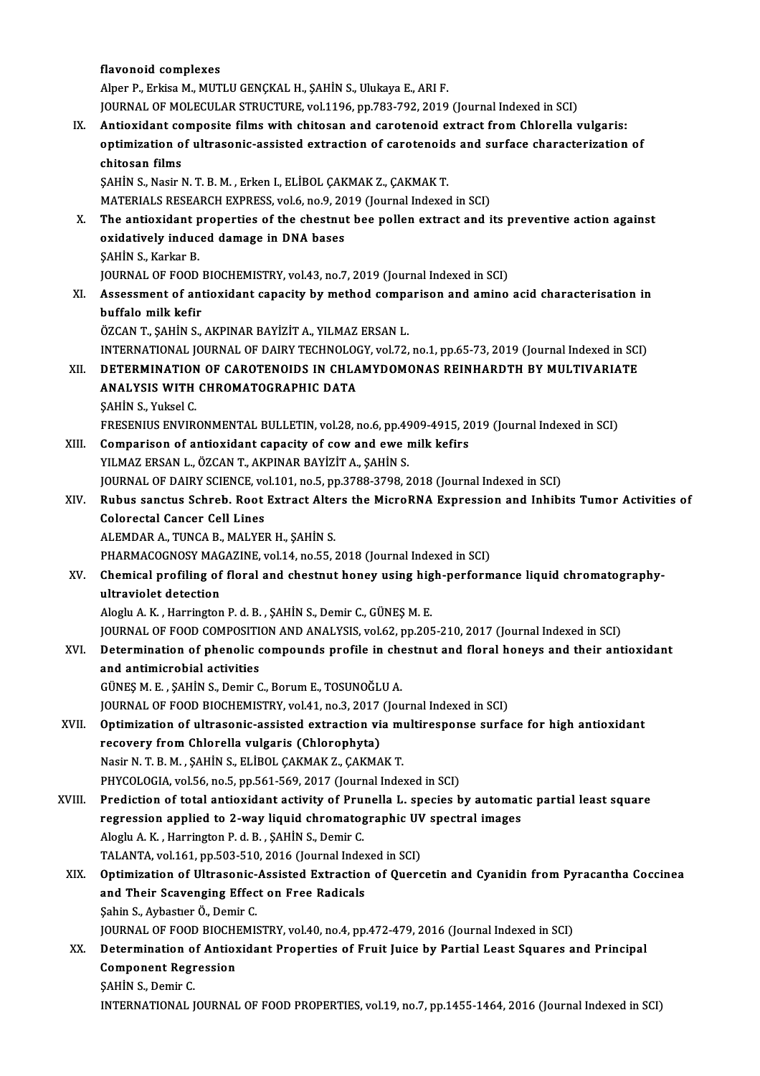|        | flavonoid complexes                                                                                 |
|--------|-----------------------------------------------------------------------------------------------------|
|        | Alper P., Erkisa M., MUTLU GENÇKAL H., ŞAHİN S., Ulukaya E., ARI F.                                 |
|        | JOURNAL OF MOLECULAR STRUCTURE, vol.1196, pp.783-792, 2019 (Journal Indexed in SCI)                 |
| IX.    | Antioxidant composite films with chitosan and carotenoid extract from Chlorella vulgaris:           |
|        | optimization of ultrasonic-assisted extraction of carotenoids and surface characterization of       |
|        | chitosan films                                                                                      |
|        | ŞAHİN S., Nasir N. T. B. M., Erken I., ELİBOL ÇAKMAK Z., ÇAKMAK T.                                  |
|        | MATERIALS RESEARCH EXPRESS, vol.6, no.9, 2019 (Journal Indexed in SCI)                              |
| X.     | The antioxidant properties of the chestnut bee pollen extract and its preventive action against     |
|        | oxidatively induced damage in DNA bases                                                             |
|        | ŞAHİN S., Karkar B.                                                                                 |
|        | JOURNAL OF FOOD BIOCHEMISTRY, vol.43, no.7, 2019 (Journal Indexed in SCI)                           |
| XI.    | Assessment of antioxidant capacity by method comparison and amino acid characterisation in          |
|        | buffalo milk kefir                                                                                  |
|        | ÖZCAN T., ŞAHİN S., AKPINAR BAYİZİT A., YILMAZ ERSAN L.                                             |
|        | INTERNATIONAL JOURNAL OF DAIRY TECHNOLOGY, vol.72, no.1, pp.65-73, 2019 (Journal Indexed in SCI)    |
| XII.   | DETERMINATION OF CAROTENOIDS IN CHLAMYDOMONAS REINHARDTH BY MULTIVARIATE                            |
|        | ANALYSIS WITH CHROMATOGRAPHIC DATA                                                                  |
|        | ŞAHİN S., Yuksel C.                                                                                 |
|        | FRESENIUS ENVIRONMENTAL BULLETIN, vol.28, no.6, pp.4909-4915, 2019 (Journal Indexed in SCI)         |
| XIII.  | Comparison of antioxidant capacity of cow and ewe milk kefirs                                       |
|        | YILMAZ ERSAN L., ÖZCAN T., AKPINAR BAYİZİT A., ŞAHİN S.                                             |
|        | JOURNAL OF DAIRY SCIENCE, vol.101, no.5, pp.3788-3798, 2018 (Journal Indexed in SCI)                |
| XIV.   | Rubus sanctus Schreb. Root Extract Alters the MicroRNA Expression and Inhibits Tumor Activities of  |
|        | <b>Colorectal Cancer Cell Lines</b>                                                                 |
|        | ALEMDAR A., TUNCA B., MALYER H., SAHIN S.                                                           |
|        | PHARMACOGNOSY MAGAZINE, vol.14, no.55, 2018 (Journal Indexed in SCI)                                |
| XV.    | Chemical profiling of floral and chestnut honey using high-performance liquid chromatography-       |
|        | ultraviolet detection                                                                               |
|        | Aloglu A. K., Harrington P. d. B., ŞAHİN S., Demir C., GÜNEŞ M. E.                                  |
|        | JOURNAL OF FOOD COMPOSITION AND ANALYSIS, vol.62, pp.205-210, 2017 (Journal Indexed in SCI)         |
| XVI.   | Determination of phenolic compounds profile in chestnut and floral honeys and their antioxidant     |
|        | and antimicrobial activities                                                                        |
|        | GÜNEŞ M. E., ŞAHİN S., Demir C., Borum E., TOSUNOĞLU A.                                             |
|        | JOURNAL OF FOOD BIOCHEMISTRY, vol.41, no.3, 2017 (Journal Indexed in SCI)                           |
| XVII.  | Optimization of ultrasonic-assisted extraction via multiresponse surface for high antioxidant       |
|        | recovery from Chlorella vulgaris (Chlorophyta)                                                      |
|        | Nasir N. T. B. M., ŞAHİN S., ELİBOL ÇAKMAK Z., ÇAKMAK T.                                            |
|        | PHYCOLOGIA, vol.56, no.5, pp.561-569, 2017 (Journal Indexed in SCI)                                 |
| XVIII. | Prediction of total antioxidant activity of Prunella L. species by automatic partial least square   |
|        | regression applied to 2-way liquid chromatographic UV spectral images                               |
|        | Aloglu A.K., Harrington P.d.B., SAHIN S., Demir C.                                                  |
|        | TALANTA, vol.161, pp.503-510, 2016 (Journal Indexed in SCI)                                         |
| XIX.   | Optimization of Ultrasonic-Assisted Extraction of Quercetin and Cyanidin from Pyracantha Coccinea   |
|        | and Their Scavenging Effect on Free Radicals                                                        |
|        | Şahin S., Aybastıer Ö., Demir C.                                                                    |
|        | JOURNAL OF FOOD BIOCHEMISTRY, vol.40, no.4, pp.472-479, 2016 (Journal Indexed in SCI)               |
| XX.    | Determination of Antioxidant Properties of Fruit Juice by Partial Least Squares and Principal       |
|        | <b>Component Regression</b><br>ŞAHİN S., Demir C.                                                   |
|        |                                                                                                     |
|        | INTERNATIONAL JOURNAL OF FOOD PROPERTIES, vol.19, no.7, pp.1455-1464, 2016 (Journal Indexed in SCI) |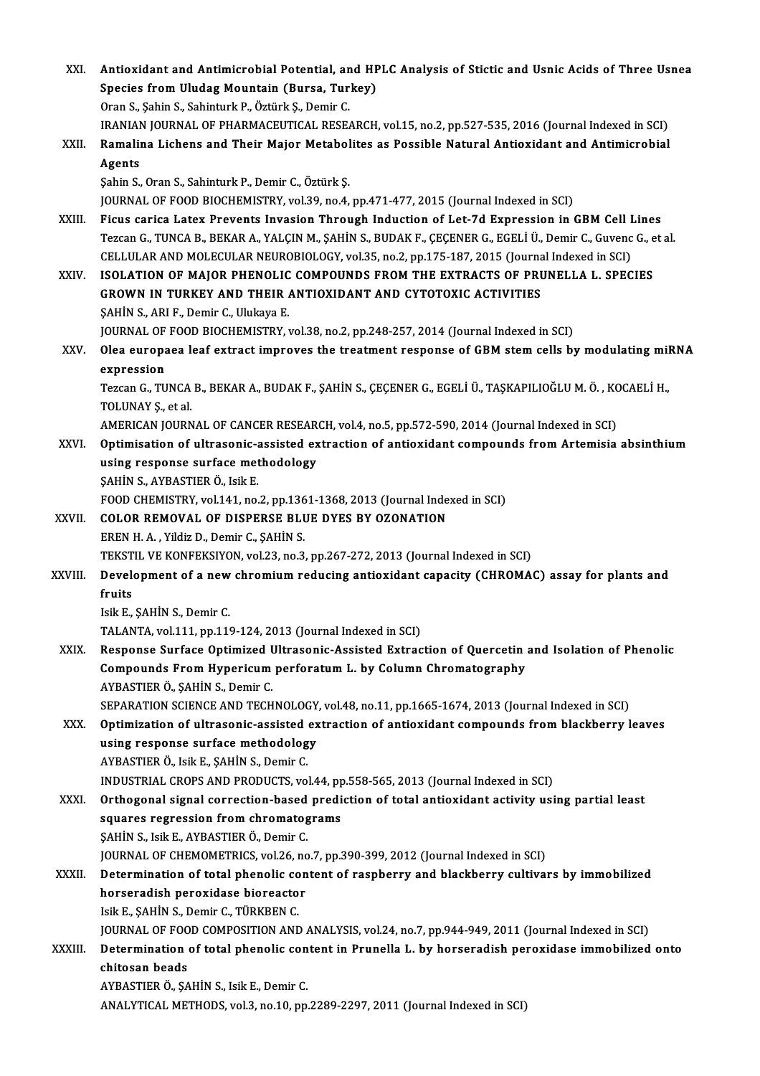| XXI.         | Antioxidant and Antimicrobial Potential, and HPLC Analysis of Stictic and Usnic Acids of Three Usnea<br>Species from Uludag Mountain (Bursa, Turkey)                                                                                                                                                            |
|--------------|-----------------------------------------------------------------------------------------------------------------------------------------------------------------------------------------------------------------------------------------------------------------------------------------------------------------|
|              | Oran S., Şahin S., Sahinturk P., Öztürk Ş., Demir C.<br>IRANIAN JOURNAL OF PHARMACEUTICAL RESEARCH, vol.15, no.2, pp.527-535, 2016 (Journal Indexed in SCI)                                                                                                                                                     |
| XXII.        | Ramalina Lichens and Their Major Metabolites as Possible Natural Antioxidant and Antimicrobial                                                                                                                                                                                                                  |
|              | Agents<br>Şahin S., Oran S., Sahinturk P., Demir C., Öztürk Ş.                                                                                                                                                                                                                                                  |
|              | JOURNAL OF FOOD BIOCHEMISTRY, vol.39, no.4, pp.471-477, 2015 (Journal Indexed in SCI)                                                                                                                                                                                                                           |
| XXIII.       | Ficus carica Latex Prevents Invasion Through Induction of Let-7d Expression in GBM Cell Lines<br>Tezcan G., TUNCA B., BEKAR A., YALÇIN M., ŞAHİN S., BUDAK F., ÇEÇENER G., EGELİ Ü., Demir C., Guvenc G., et al<br>CELLULAR AND MOLECULAR NEUROBIOLOGY, vol.35, no.2, pp.175-187, 2015 (Journal Indexed in SCI) |
| XXIV.        | ISOLATION OF MAJOR PHENOLIC COMPOUNDS FROM THE EXTRACTS OF PRUNELLA L. SPECIES<br><b>GROWN IN TURKEY AND THEIR ANTIOXIDANT AND CYTOTOXIC ACTIVITIES</b><br>SAHIN S., ARI F., Demir C., Ulukaya E.                                                                                                               |
|              | JOURNAL OF FOOD BIOCHEMISTRY, vol.38, no.2, pp.248-257, 2014 (Journal Indexed in SCI)                                                                                                                                                                                                                           |
| XXV.         | Olea europaea leaf extract improves the treatment response of GBM stem cells by modulating miRNA                                                                                                                                                                                                                |
|              | expression                                                                                                                                                                                                                                                                                                      |
|              | Tezcan G., TUNCA B., BEKAR A., BUDAK F., ŞAHİN S., ÇEÇENER G., EGELİ Ü., TAŞKAPILIOĞLU M. Ö., KOCAELİ H.,<br>TOLUNAY <i>Ş</i> , et al.                                                                                                                                                                          |
|              | AMERICAN JOURNAL OF CANCER RESEARCH, vol.4, no.5, pp.572-590, 2014 (Journal Indexed in SCI)                                                                                                                                                                                                                     |
| XXVI.        | Optimisation of ultrasonic-assisted extraction of antioxidant compounds from Artemisia absinthium                                                                                                                                                                                                               |
|              | using response surface methodology                                                                                                                                                                                                                                                                              |
|              | ŞAHİN S., AYBASTIER Ö., Isik E.                                                                                                                                                                                                                                                                                 |
| XXVII.       | FOOD CHEMISTRY, vol.141, no.2, pp.1361-1368, 2013 (Journal Indexed in SCI)<br>COLOR REMOVAL OF DISPERSE BLUE DYES BY OZONATION                                                                                                                                                                                  |
|              | EREN H. A., Yildiz D., Demir C., SAHİN S.                                                                                                                                                                                                                                                                       |
|              | TEKSTIL VE KONFEKSIYON, vol.23, no.3, pp.267-272, 2013 (Journal Indexed in SCI)                                                                                                                                                                                                                                 |
| XXVIII.      | Development of a new chromium reducing antioxidant capacity (CHROMAC) assay for plants and                                                                                                                                                                                                                      |
|              | fruits                                                                                                                                                                                                                                                                                                          |
|              | Isik E., ŞAHİN S., Demir C.                                                                                                                                                                                                                                                                                     |
|              | TALANTA, vol.111, pp.119-124, 2013 (Journal Indexed in SCI)                                                                                                                                                                                                                                                     |
| XXIX.        | Response Surface Optimized Ultrasonic-Assisted Extraction of Quercetin and Isolation of Phenolic                                                                                                                                                                                                                |
|              | Compounds From Hypericum perforatum L. by Column Chromatography<br>AYBASTIER Ö., ŞAHİN S., Demir C.                                                                                                                                                                                                             |
|              | SEPARATION SCIENCE AND TECHNOLOGY, vol.48, no.11, pp.1665-1674, 2013 (Journal Indexed in SCI)                                                                                                                                                                                                                   |
| XXX.         | Optimization of ultrasonic-assisted extraction of antioxidant compounds from blackberry leaves                                                                                                                                                                                                                  |
|              | using response surface methodology                                                                                                                                                                                                                                                                              |
|              | AYBASTIER Ö., Isik E., ŞAHİN S., Demir C.                                                                                                                                                                                                                                                                       |
|              | INDUSTRIAL CROPS AND PRODUCTS, vol.44, pp.558-565, 2013 (Journal Indexed in SCI)                                                                                                                                                                                                                                |
| XXXI.        | Orthogonal signal correction-based prediction of total antioxidant activity using partial least                                                                                                                                                                                                                 |
|              | squares regression from chromatograms                                                                                                                                                                                                                                                                           |
|              | ŞAHİN S., Isik E., AYBASTIER Ö., Demir C.<br>JOURNAL OF CHEMOMETRICS, vol.26, no.7, pp.390-399, 2012 (Journal Indexed in SCI)                                                                                                                                                                                   |
| <b>XXXII</b> | Determination of total phenolic content of raspberry and blackberry cultivars by immobilized                                                                                                                                                                                                                    |
|              | horseradish peroxidase bioreactor                                                                                                                                                                                                                                                                               |
|              | Isik E., ŞAHİN S., Demir C., TÜRKBEN C.                                                                                                                                                                                                                                                                         |
|              | JOURNAL OF FOOD COMPOSITION AND ANALYSIS, vol.24, no.7, pp.944-949, 2011 (Journal Indexed in SCI)                                                                                                                                                                                                               |
| XXXIII.      | Determination of total phenolic content in Prunella L. by horseradish peroxidase immobilized onto                                                                                                                                                                                                               |
|              | chitosan beads                                                                                                                                                                                                                                                                                                  |
|              | AYBASTIER Ö., ŞAHİN S., Isik E., Demir C.                                                                                                                                                                                                                                                                       |
|              | ANALYTICAL METHODS, vol.3, no.10, pp.2289-2297, 2011 (Journal Indexed in SCI)                                                                                                                                                                                                                                   |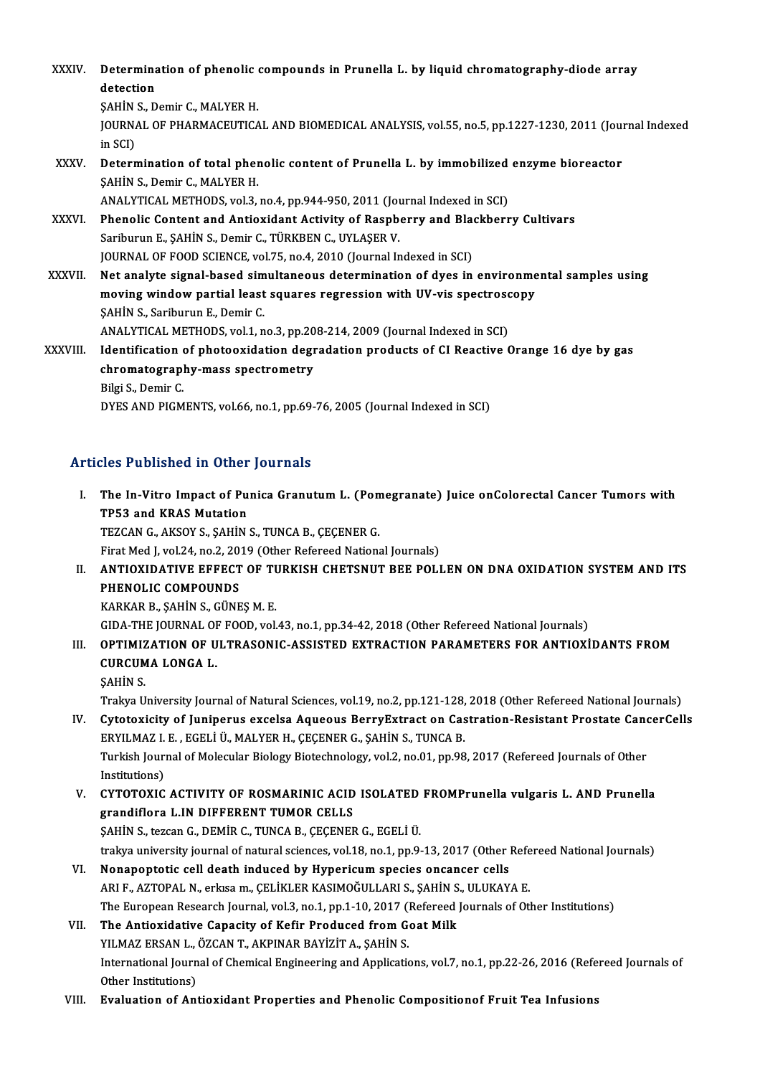XXXIV. Determination of phenolic compounds in Prunella L. by liquid chromatography-diode array<br>detection Determina<br>detection<br>sauins D **Determination of phenolic<br>detection<br>SAHİN S., Demir C., MALYER H.<br>JOUPMAL OF PHAPMACEUTICA** detection<br>ŞAHİN S., Demir C., MALYER H.<br>JOURNAL OF PHARMACEUTICAL AND BIOMEDICAL ANALYSIS, vol.55, no.5, pp.1227-1230, 2011 (Journal Indexed<br>in SCI) **SAHIN<br>JOURNA**<br>in SCI)<br>Detern JOURNAL OF PHARMACEUTICAL AND BIOMEDICAL ANALYSIS, vol.55, no.5, pp.1227-1230, 2011 (Journal in SCI)<br>in SCI)<br>XXXV. Determination of total phenolic content of Prunella L. by immobilized enzyme bioreactor<br>SAHIN S. Domin G. M in SCI)<br>Determination of total pher<br>ŞAHİN S., Demir C., MALYER H.<br>ANALYTICAL METHODS vol 3 Determination of total phenolic content of Prunella L. by immobilized<br>SAHİN S., Demir C., MALYER H.<br>ANALYTICAL METHODS, vol.3, no.4, pp.944-950, 2011 (Journal Indexed in SCI)<br>Phenolis Content and Antioxidant Activity of Pe SAHIN S., Demir C., MALYER H.<br>ANALYTICAL METHODS, vol.3, no.4, pp.944-950, 2011 (Journal Indexed in SCI)<br>XXXVI. Phenolic Content and Antioxidant Activity of Raspberry and Blackberry Cultivars<br>Sariburup E. SAHIN S. Damir C. ANALYTICAL METHODS, vol.3, no.4, pp.944-950, 2011 (Journal Indexed in SCI)<br>Phenolic Content and Antioxidant Activity of Raspberry and Blackberr<br>Sariburun E., ŞAHİN S., Demir C., TÜRKBEN C., UYLAŞER V.<br>JOURNAL OF FOOD SCIEN Phenolic Content and Antioxidant Activity of Raspberry and Black<br>Sariburun E., ŞAHİN S., Demir C., TÜRKBEN C., UYLAŞER V.<br>JOURNAL OF FOOD SCIENCE, vol.75, no.4, 2010 (Journal Indexed in SCI)<br>Net analyte signal based simult XXXVII. Net analyte signal-based simultaneous determination of dyes in environmental samples using JOURNAL OF FOOD SCIENCE, vol.75, no.4, 2010 (Journal Indexed in SCI)<br>Net analyte signal-based simultaneous determination of dyes in environme<br>moving window partial least squares regression with UV-vis spectroscopy<br>SAHIN S. Net analyte signal-based sim<br>moving window partial least<br>ŞAHİN S., Sariburun E., Demir C.<br>ANALYTICAL METHODS vol 1 n moving window partial least squares regression with UV-vis spectroso<br>SAHİN S., Sariburun E., Demir C.<br>ANALYTICAL METHODS, vol.1, no.3, pp.208-214, 2009 (Journal Indexed in SCI)<br>Identification of photogridation degradation \$AHIN S., Sariburun E., Demir C.<br>ANALYTICAL METHODS, vol.1, no.3, pp.208-214, 2009 (Journal Indexed in SCI)<br>XXXVIII. Identification of photooxidation degradation products of CI Reactive Orange 16 dye by gas ANALYTICAL METHODS, vol.1, no.3, pp.20<br>Identification of photooxidation degr<br>chromatography-mass spectrometry<br><sup>Pilgi S</sup>. Damir C chromatography-mass spectrometry<br>Bilgi S., Demir C. DYES AND PIGMENTS, vol.66, no.1, pp.69-76, 2005 (Journal Indexed in SCI)

#### Articles Published in Other Journals

- rticles Published in Other Journals<br>I. The In-Vitro Impact of Punica Granutum L. (Pomegranate) Juice onColorectal Cancer Tumors with<br>TRE2 and KRAS Mutation The In-Vitro Impact of Pu<br>TP53 and KRAS Mutation<br>TEZCAN C AVSOV S SAHIN TP53 and KRAS Mutation<br>TEZCAN G., AKSOY S., ŞAHİN S., TUNCA B., ÇEÇENER G. TP53 and KRAS Mutation<br>TEZCAN G., AKSOY S., ŞAHİN S., TUNCA B., ÇEÇENER G.<br>Firat Med J, vol.24, no.2, 2019 (Other Refereed National Journals)<br>ANTIOXID ATIVE EEEECT OF TURKISH CHETSNUT REF ROLI
- II. ANTIOXIDATIVE EFFECT OF TURKISH CHETSNUT BEE POLLEN ON DNA OXIDATION SYSTEM AND ITS<br>PHENOLIC COMPOUNDS Firat Med J, vol.24, no.2, 20<br>ANTIOXIDATIVE EFFECT<br>PHENOLIC COMPOUNDS<br>KARKAR R, SAHIN S, CÜNE

KARKARB.,ŞAHİNS.,GÜNEŞM.E.

GIDA-THE JOURNAL OF FOOD, vol.43, no.1, pp.34-42, 2018 (Other Refereed National Journals)

- III. OPTIMIZATION OF ULTRASONIC-ASSISTED EXTRACTION PARAMETERS FOR ANTIOXIDANTS FROM GIDA-THE JOURNAL OF<br>OPTIMIZATION OF U<br>CURCUMA LONGA L.<br>SAHIN S OPTIMIZ<br>CURCUM<br>ŞAHİN S.<br>Trakve H CURCUMA LONGA L.<br>ŞAHİN S.<br>Trakya University Journal of Natural Sciences, vol.19, no.2, pp.121-128, 2018 (Other Refereed National Journals)<br>Cutatovicity of Juniperus excelse Asuseus BernyEutrest en Cestration Besistent Pres
	-

- SAHIN S.<br>Trakya University Journal of Natural Sciences, vol.19, no.2, pp.121-128, 2018 (Other Refereed National Journals)<br>IV. Cytotoxicity of Juniperus excelsa Aqueous BerryExtract on Castration-Resistant Prostate Canc Trakya University Journal of Natural Sciences, vol.19, no.2, pp.121-128,<br>Cytotoxicity of Juniperus excelsa Aqueous BerryExtract on Cas<br>ERYILMAZ I. E. , EGELİ Ü., MALYER H., ÇEÇENER G., ŞAHİN S., TUNCA B.<br>Turkish Journal of IV. Cytotoxicity of Juniperus excelsa Aqueous BerryExtract on Castration-Resistant Prostate CancerCells<br>ERYILMAZ I. E. , EGELI Ü., MALYER H., ÇEÇENER G., ŞAHİN S., TUNCA B.<br>Turkish Journal of Molecular Biology Biotechnolog ERYILMAZ I. E., EGELİ Ü., MALYER H., ÇEÇENER G., ŞAHİN S., TUNCA B. Turkish Journal of Molecular Biology Biotechnology, vol.2, no.01, pp.98, 2017 (Refereed Journals of Other<br>Institutions)<br>V. CYTOTOXIC ACTIVITY OF ROSMARINIC ACID ISOLATED FROMPrunella vulgaris L. AND Prunella<br>Trandiflora L.
- Institutions)<br>CYTOTOXIC ACTIVITY OF ROSMARINIC ACID<br>grandiflora L.IN DIFFERENT TUMOR CELLS<br>SAHIN S. teggen G. DEMIR G. TUNCA B. CECENER CYTOTOXIC ACTIVITY OF ROSMARINIC ACID ISOLATED<br>grandiflora L.IN DIFFERENT TUMOR CELLS<br>ŞAHİN S., tezcan G., DEMİR C., TUNCA B., ÇEÇENER G., EGELİ Ü.<br>trakya university journal of natural sciences, vol 19, no 1, nn 9. grandiflora L.IN DIFFERENT TUMOR CELLS<br>\$AHİN S., tezcan G., DEMİR C., TUNCA B., ÇEÇENER G., EGELİ Ü.<br>trakya university journal of natural sciences, vol.18, no.1, pp.9-13, 2017 (Other Refereed National Journals)

- VI. Nonapoptotic cell death induced by Hypericum species oncancer cells trakya university journal of natural sciences, vol.18, no.1, pp.9-13, 2017 (Other Refe<br>Nonapoptotic cell death induced by Hypericum species oncancer cells<br>ARI F., AZTOPAL N., erkısa m., ÇELİKLER KASIMOĞULLARI S., ŞAHİN S., The European Research Journal, vol.3, no.1, pp.1-10, 2017 (Refereed Journals of Other Institutions) ARI F., AZTOPAL N., erkısa m., ÇELİKLER KASIMOĞULLARI S., ŞAHİN S<br>The European Research Journal, vol.3, no.1, pp.1-10, 2017 (Refereed<br>VII. The Antioxidative Capacity of Kefir Produced from Goat Milk<br>VII. WI MAZ EDSAN L. ÖZ
- The Antioxidative Capacity of Kefir Produced from Goat Milk<br>YILMAZ ERSAN L., ÖZCAN T., AKPINAR BAYİZİT A., ŞAHİN S. The Antioxidative Capacity of Kefir Produced from Goat Milk<br>YILMAZ ERSAN L., ÖZCAN T., AKPINAR BAYİZİT A., ŞAHİN S.<br>International Journal of Chemical Engineering and Applications, vol.7, no.1, pp.22-26, 2016 (Refereed Jour **YILMAZ ERSAN L.,**<br>International Journ<br>Other Institutions)<br>Evaluation of Art International Journal of Chemical Engineering and Applications, vol.7, no.1, pp.22-26, 2016 (Refe<br>Other Institutions)<br>VIII. Evaluation of Antioxidant Properties and Phenolic Compositionof Fruit Tea Infusions
-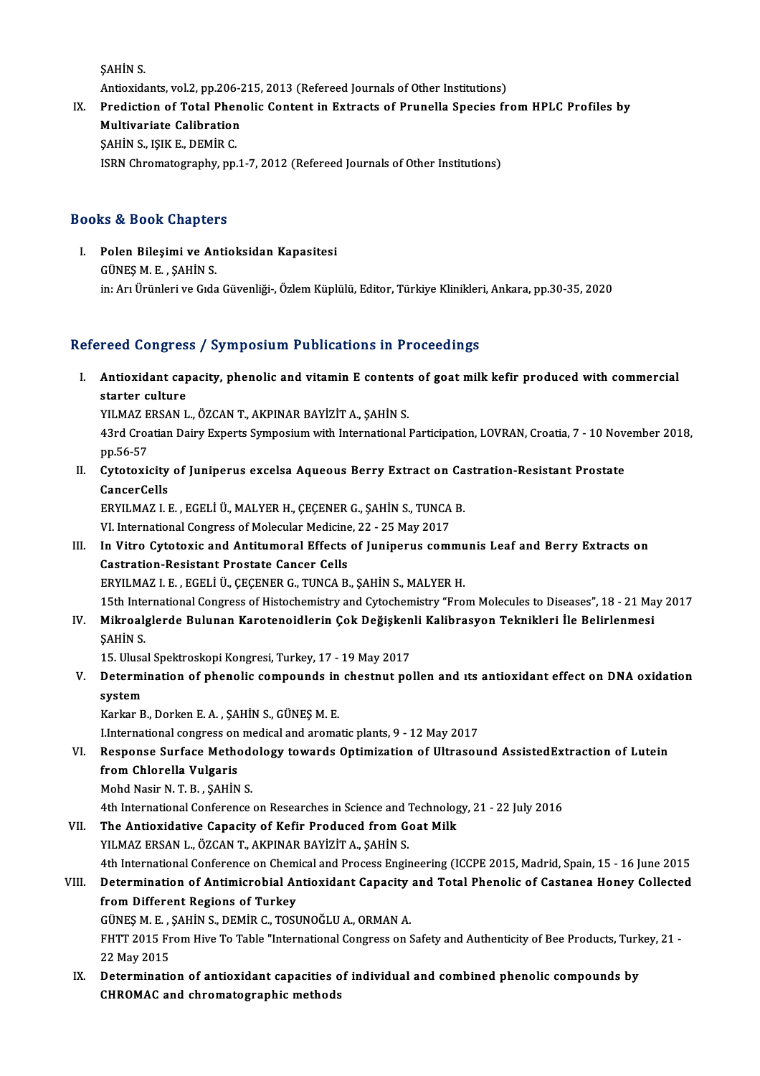ŞAHİNS.

Antioxidants, vol.2, pp.206-215, 2013 (Refereed Journals of Other Institutions)

SAHIN S.<br>Antioxidants, vol.2, pp.206-215, 2013 (Refereed Journals of Other Institutions)<br>IX. Prediction of Total Phenolic Content in Extracts of Prunella Species from HPLC Profiles by<br>Multivariate Colibration Antioxidants, vol.2, pp.206-2<br>Prediction of Total Phen<br>Multivariate Calibration<br>SAHIN S. JSIV E. DEMIR C Prediction of Total Pher<br>Multivariate Calibration<br>ŞAHİN S., IŞIK E., DEMİR C.<br>ISPN Chromatography, pp

Multivariate Calibration<br>SAHİN S., IŞIK E., DEMİR C.<br>ISRN Chromatography, pp.1-7, 2012 (Refereed Journals of Other Institutions)

### Books&Book Chapters

ooks & Book Chapters<br>I. Polen Bileşimi ve Antioksidan Kapasitesi<br>CÜNES M.E. SAHİN S EU EU EU EU EU EU EU<br>Polen Bileşimi ve An<br>GÜNEŞ M. E. , ŞAHİN S. GÜNEŞ M. E. , ŞAHİN S.<br>in: Arı Ürünleri ve Gıda Güvenliği-, Özlem Küplülü, Editor, Türkiye Klinikleri, Ankara, pp.30-35, 2020

### Refereed Congress / Symposium Publications in Proceedings

efereed Congress / Symposium Publications in Proceedings<br>I. Antioxidant capacity, phenolic and vitamin E contents of goat milk kefir produced with commercial<br>starter sulture reed congres<br>Antioxidant cap<br>starter culture<br>YU M47 ERSAN L Antioxidant capacity, phenolic and vitamin E contents<br>starter culture<br>YILMAZ ERSAN L., ÖZCAN T., AKPINAR BAYİZİT A., ŞAHİN S.<br>42rd Creatian Dairy Experts Sympesium vitb International

YILMAZ ERSAN L., ÖZCAN T., AKPINAR BAYİZİT A., ŞAHİN S.

starter culture<br>YILMAZ ERSAN L., ÖZCAN T., AKPINAR BAYİZİT A., ŞAHİN S.<br>43rd Croatian Dairy Experts Symposium with International Participation, LOVRAN, Croatia, 7 - 10 November 2018,<br>pp.56-57 43rd Croatian Dairy Experts Symposium with International Participation, LOVRAN, Croatia, 7 - 10 Nov<br>pp.56-57<br>II. Cytotoxicity of Juniperus excelsa Aqueous Berry Extract on Castration-Resistant Prostate<br>CancerCalls

pp.56-57<br>Cytotoxicity<br>CancerCells<br>EPVU MAZ LI Cytotoxicity of Juniperus excelsa Aqueous Berry Extract on Ca<br>CancerCells<br>ERYILMAZ I. E. , EGELİ Ü., MALYER H., ÇEÇENER G., ŞAHİN S., TUNCA B.<br>VI. International Congress of Molecular Medicine. 22 . 25 Mev 2017

CancerCells<br>ERYILMAZ I. E. , EGELİ Ü., MALYER H., ÇEÇENER G., ŞAHİN S., TUNCA B.<br>VI. International Congress of Molecular Medicine, 22 - 25 May 2017

- ERYILMAZ I. E. , EGELİ Ü., MALYER H., ÇEÇENER G., ŞAHİN S., TUNCA B.<br>VI. International Congress of Molecular Medicine, 22 25 May 2017<br>III. In Vitro Cytotoxic and Antitumoral Effects of Juniperus communis Leaf and Berry E VI. International Congress of Molecular Medicine<br>In Vitro Cytotoxic and Antitumoral Effects<br>Castration-Resistant Prostate Cancer Cells<br>FRVII MAZ LE FCELLÜ CECENER C. TUNCA B In Vitro Cytotoxic and Antitumoral Effects of Juniperus commu<br>Castration-Resistant Prostate Cancer Cells<br>ERYILMAZ I. E. , EGELİ Ü., ÇEÇENER G., TUNCA B., ŞAHİN S., MALYER H.<br>15th International Congress of Histoshemistry an 15th Internation-Resistant Prostate Cancer Cells<br>15th International Congress of Histochemistry and Cytochemistry "From Molecules to Diseases", 18 - 21 May 2017<br>15th International Congress of Histochemistry and Cytochemistr
- ERYILMAZ I. E. , EGELİ Ü., ÇEÇENER G., TUNCA B., ŞAHİN S., MALYER H.<br>15th International Congress of Histochemistry and Cytochemistry "From Molecules to Diseases", 18 21 Ma<br>IV. Mikroalglerde Bulunan Karotenoidlerin Ço 15th Inte<br>Mikroal<br>ŞAHİN S. Mikroalglerde Bulunan Karotenoidlerin Çok Değişken<br>ŞAHİN S.<br>15. Ulusal Spektroskopi Kongresi, Turkey, 17 - 19 May 2017<br>Determination of nhanolis semneyude in shestnut ne

SAHIN S.<br>15. Ulusal Spektroskopi Kongresi, Turkey, 17 - 19 May 2017<br>V. Determination of phenolic compounds in chestnut pollen and ıts antioxidant effect on DNA oxidation<br>system 15. Ulusa<br>Determi<br>system<br><sup>Karkar</sub> p</sup> Determination of phenolic compounds in<br>system<br>Karkar B., Dorken E. A. , ŞAHİN S., GÜNEŞ M. E.<br>Unternational congress en medical and arema system<br>Karkar B., Dorken E. A. , ŞAHİN S., GÜNEŞ M. E.<br>LInternational congress on medical and aromatic plants, 9 - 12 May 2017<br>Bespense Surface Methodology towards Ontimization of Ultrasev

# Karkar B., Dorken E. A. , ŞAHİN S., GÜNEŞ M. E.<br>I.International congress on medical and aromatic plants, 9 - 12 May 2017<br>VI. Response Surface Methodology towards Optimization of Ultrasound AssistedExtraction of Lutein<br>from **I.International congress on<br>Response Surface Methor<br>from Chlorella Vulgaris<br>Mobd Nasir N.T. B., SAHİN**

Mohd Nasir N.T.B., ŞAHİN S.

4th International Conference on Researches in Science and Technology, 21 - 22 July 2016

Mohd Nasir N. T. B., ŞAHİN S.<br>4th International Conference on Researches in Science and Technolog<br>VII. The Antioxidative Capacity of Kefir Produced from Goat Milk<br>VII. MAZERSAN L. ÖZCAN T. AKPINAR RAVIZIT A. SAHİN S. 4th International Conference on Researches in Science and T<br>The Antioxidative Capacity of Kefir Produced from G<br>YILMAZ ERSAN L., ÖZCAN T., AKPINAR BAYİZİT A., ŞAHİN S.<br>4th International Conference on Chemisal and Progess E YILMAZ ERSAN L., ÖZCAN T., AKPINAR BAYİZİT A., ŞAHİN S.<br>4th International Conference on Chemical and Process Engineering (ICCPE 2015, Madrid, Spain, 15 - 16 June 2015

VIII. Determination of Antimicrobial Antioxidant Capacity and Total Phenolic of Castanea Honey Collected from Different Regions of Turkey Determination of Antimicrobial Antioxidant Capacity<br>from Different Regions of Turkey<br>GÜNEŞ M. E. , ŞAHİN S., DEMİR C., TOSUNOĞLU A., ORMAN A.<br>EHTT 2015 Erem Hive Te Teble "International Congress on S

FHTT 2015 From Hive To Table "International Congress on Safety and Authenticity of Bee Products, Turkey, 21 -<br>22 May 2015 GÜNEŞ M. E. , :<br>FHTT 2015 Fr<br>22 May 2015<br>Determinatie FHTT 2015 From Hive To Table "International Congress on Safety and Authenticity of Bee Products, Turk<br>22 May 2015<br>IX. Determination of antioxidant capacities of individual and combined phenolic compounds by<br>CHROMAC and chr

22 May 2015<br>Determination of antioxidant capacities o<br>CHROMAC and chromatographic methods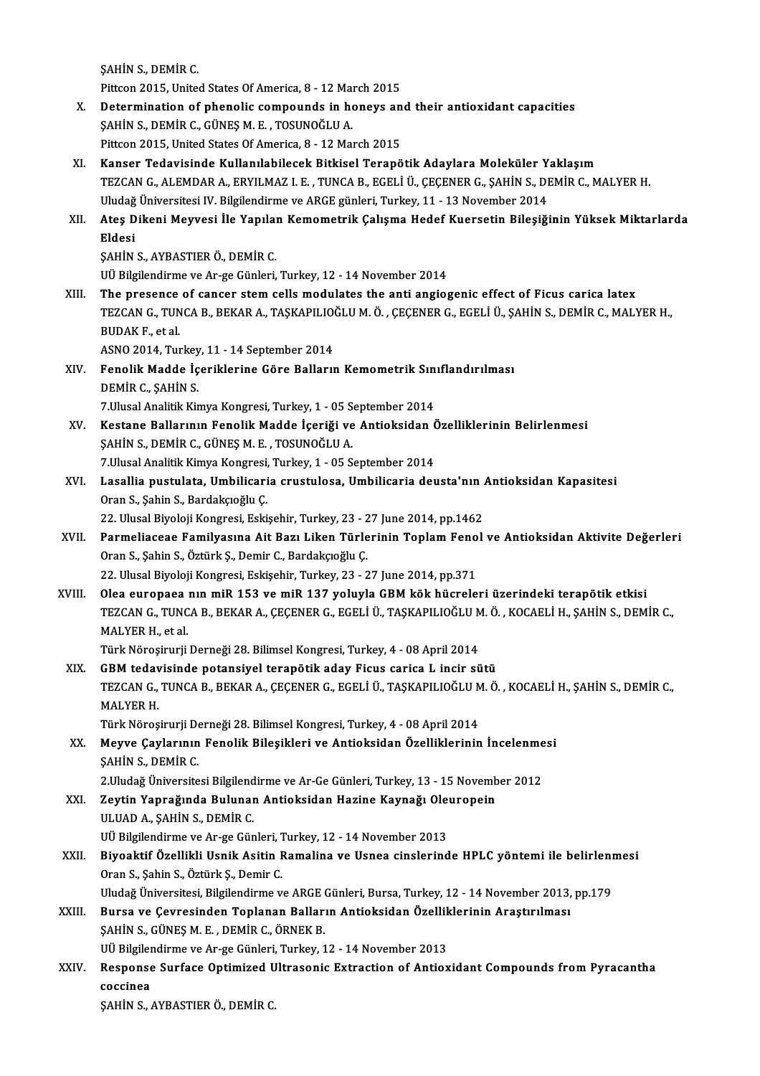ŞAHİNS.,DEMİRC.

SAHİN S., DEMİR C.<br>Pittcon 2015, United States Of America, 8 - 12 March 2015<br>Petermination of phenolis semneunde in benevs en

- SAHIN S., DEMIR C.<br>Pittcon 2015, United States Of America, 8 12 March 2015<br>X. Determination of phenolic compounds in honeys and their antioxidant capacities<br>SAHIN S. DEMIR C. CÜNES M. E. TOSUNOČLU A Pittcon 2015, United States Of America, 8 - 12 Main<br>Determination of phenolic compounds in ho<br>SAHİN S., DEMİR C., GÜNEŞ M. E. , TOSUNOĞLU A. Determination of phenolic compounds in honeys an<br>SAHİN S., DEMİR C., GÜNEŞ M. E. , TOSUNOĞLU A.<br>Pittcon 2015, United States Of America, 8 - 12 March 2015<br>Kanser Tedavisinde Kullanılabilesek Bitkisel Teranê SAHİN S., DEMİR C., GÜNEŞ M. E. , TOSUNOĞLU A.<br>Pittcon 2015, United States Of America, 8 - 12 March 2015<br>XI. Kanser Tedavisinde Kullanılabilecek Bitkisel Terapötik Adaylara Moleküler Yaklaşım
- Pittcon 2015, United States Of America, 8 12 March 2015<br>Kanser Tedavisinde Kullanılabilecek Bitkisel Terapötik Adaylara Moleküler Yaklaşım<br>TEZCAN G., ALEMDAR A., ERYILMAZ I. E. , TUNCA B., EGELİ Ü., ÇEÇENER G., ŞAHİN S., Kanser Tedavisinde Kullanılabilecek Bitkisel Terapötik Adaylara Moleküler Y.<br>TEZCAN G., ALEMDAR A., ERYILMAZ I. E. , TUNCA B., EGELİ Ü., ÇEÇENER G., ŞAHİN S., DI<br>Uludağ Üniversitesi IV. Bilgilendirme ve ARGE günleri, Turke TEZCAN G., ALEMDAR A., ERYILMAZ I. E. , TUNCA B., EGELİ Ü., ÇEÇENER G., ŞAHİN S., DEMİR C., MALYER H.<br>Uludağ Üniversitesi IV. Bilgilendirme ve ARGE günleri, Turkey, 11 - 13 November 2014<br>XII. Ateş Dikeni Meyvesi İle Ya

## Uludağ<br><mark>Ateş D</mark><br>Eldesi<br>sayin Ateş Dikeni Meyvesi İle Yapılaı<br>Eldesi<br>ŞAHİN S., AYBASTIER Ö., DEMİR C.<br>III Bilgilandirma va Ar ge Günleri Eldesi<br>ŞAHİN S., AYBASTIER Ö., DEMİR C.<br>UÜ Bilgilendirme ve Ar-ge Günleri, Turkey, 12 - 14 November 2014

XIII. The presence of cancer stem cells modulates the anti angiogenic effect of Ficus carica latex UÜ Bilgilendirme ve Ar-ge Günleri, Turkey, 12 - 14 November 2014<br>The presence of cancer stem cells modulates the anti angiogenic effect of Ficus carica latex<br>TEZCAN G., TUNCA B., BEKAR A., TAŞKAPILIOĞLU M. Ö. , ÇEÇENER G., The presence<br>TEZCAN G., TUN<br>BUDAK F., et al.<br>ASNO 2014, Tur TEZCAN G., TUNCA B., BEKAR A., TAŞKAPILIO)<br>BUDAK F., et al.<br>ASNO 2014, Turkey, 11 - 14 September 2014<br>Fenelik Madde İseriklerine Göre Belleru

# BUDAK F., et al.<br>ASNO 2014, Turkey, 11 - 14 September 2014<br>XIV. Fenolik Madde İçeriklerine Göre Balların Kemometrik Sınıflandırılması<br>DEMİR C. SAHİN S ASNO 2014, Turkey, 11 - 14 September 2014<br>Fenolik Madde İçeriklerine Göre Balların Kemometrik Sın<br>DEMİR C., ŞAHİN S.<br>7.Ulusal Analitik Kimya Kongresi, Turkey, 1 - 05 September 2014 Fenolik Madde İçeriklerine Göre Balların Kemometrik Sın<br>DEMİR C., ŞAHİN S.<br>7.Ulusal Analitik Kimya Kongresi, Turkey, 1 - 05 September 2014<br>Kostana Ballarının Fanalik Madda İsariği ve Antioksidan G

- DEMİR C., ŞAHİN S.<br>7.Ulusal Analitik Kimya Kongresi, Turkey, 1 05 September 2014<br>XV. Kestane Ballarının Fenolik Madde İçeriği ve Antioksidan Özelliklerinin Belirlenmesi<br>SAHİN S. DEMİR G. GÜNES M. E. TOSUNOĞLU A 7.Ulusal Analitik Kimya Kongresi, Turkey, 1 - 05 S.<br>Kestane Ballarının Fenolik Madde İçeriği ve<br>ŞAHİN S., DEMİR C., GÜNEŞ M. E. , TOSUNOĞLU A.<br>7 Husal Analitik Kimya Kongresi Turkey, 1 - 05 S. Kestane Ballarının Fenolik Madde İçeriği ve Antioksidan Ö<br>ŞAHİN S., DEMİR C., GÜNEŞ M. E. , TOSUNOĞLU A.<br>7.Ulusal Analitik Kimya Kongresi, Turkey, 1 - 05 September 2014<br>Lasallia pustulata Umbilisaria srustulasa Umbilisaria ŞAHİN S., DEMİR C., GÜNEŞ M. E. , TOSUNOĞLU A.<br>7.Ulusal Analitik Kimya Kongresi, Turkey, 1 - 05 September 2014<br>XVI. Lasallia pustulata, Umbilicaria crustulosa, Umbilicaria deusta'nın Antioksidan Kapasitesi<br>Oran S. Sabi
- 7.Ulusal Analitik Kimya Kongresi,<br>Lasallia pustulata, Umbilicari<br>Oran S., Şahin S., Bardakçıoğlu Ç.<br>22. Ulusal Biyoloji Kongresi, Feki Lasallia pustulata, Umbilicaria crustulosa, Umbilicaria deusta'nın .<br>Oran S., Şahin S., Bardakçıoğlu Ç.<br>22. Ulusal Biyoloji Kongresi, Eskişehir, Turkey, 23 - 27 June 2014, pp.1462<br>Parmaliassas, Familyasına Ait Barı Liken T
- Oran S., Şahin S., Bardakçıoğlu Ç.<br>22. Ulusal Biyoloji Kongresi, Eskişehir, Turkey, 23 27 June 2014, pp.1462<br>XVII. Parmeliaceae Familyasına Ait Bazı Liken Türlerinin Toplam Fenol ve Antioksidan Aktivite Değerleri<br>Ora 22. Ulusal Biyoloji Kongresi, Eskişehir, Turkey, 23 - 2<br>Parmeliaceae Familyasına Ait Bazı Liken Türle<br>Oran S., Şahin S., Öztürk Ş., Demir C., Bardakçıoğlu Ç.<br>22. Ulusal Biyoloji Kongresi, Eskişehir Turkey, 22. Parmeliaceae Familyasına Ait Bazı Liken Türlerinin Toplam Feno<br>Oran S., Şahin S., Öztürk Ş., Demir C., Bardakçıoğlu Ç.<br>22. Ulusal Biyoloji Kongresi, Eskişehir, Turkey, 23 - 27 June 2014, pp.371<br>Olas auranasa nın miB 153 ve XVI I. Olea europaea nınmiR 153 vemiR 137 yoluyla GBMkök hücreleri üzerindeki terapötik etkisi
- 22. Ulusal Biyoloji Kongresi, Eskişehir, Turkey, 23 27 June 2014, pp.371<br>Olea europaea nın miR 153 ve miR 137 yoluyla GBM kök hücreleri üzerindeki terapötik etkisi<br>TEZCAN G., TUNCA B., BEKAR A., ÇEÇENER G., EGELİ Ü., TAŞ Olea europaea<br>TEZCAN G., TUNC<br>MALYER H., et al.<br>Türk Nörosinuni

Türk Nöroşirurji Derneği 28. Bilimsel Kongresi, Turkey, 4 - 08 April 2014

MALYER H., et al.<br>Türk Nöroşirurji Derneği 28. Bilimsel Kongresi, Turkey, 4 - 08 April 2014<br>XIX. GBM tedavisinde potansiyel terapötik aday Ficus carica L incir sütü<br>TEZCAN C. TUNCA B. BEKAR A. CECENER C. ECELLÜ TASKARU JOČ Türk Nöroşirurji Derneği 28. Bilimsel Kongresi, Turkey, 4 - 08 April 2014<br>GBM tedavisinde potansiyel terapötik aday Ficus carica L incir sütü<br>TEZCAN G., TUNCA B., BEKAR A., ÇEÇENER G., EGELİ Ü., TAŞKAPILIOĞLU M. Ö. , KOCAE **GBM teday<br>TEZCAN G.,<br>MALYER H.<br>Türk Näros** TEZCAN G., TUNCA B., BEKAR A., ÇEÇENER G., EGELİ Ü., TAŞKAPILIOĞLU MALYER H.<br>MALYER H.<br>Türk Nöroşirurji Derneği 28. Bilimsel Kongresi, Turkey, 4 - 08 April 2014<br>Mauye Gavlarının Fenelik Bilesikleri ve Antioksiden Özellikle MALYER H.<br>Türk Nöroşirurji Derneği 28. Bilimsel Kongresi, Turkey, 4 - 08 April 2014<br>XX. Meyve Çaylarının Fenolik Bileşikleri ve Antioksidan Özelliklerinin İncelenmesi<br>SAHİN S. DEMİP C

Türk Nöroşirurji Derneği 28. Bilimsel Kongresi, Turkey, 4 - 08 April 2014<br>Meyve Çaylarının Fenolik Bileşikleri ve Antioksidan Özelliklerinin İncelenme<br>ŞAHİN S., DEMİR C.<br>2.Uludağ Üniversitesi Bilgilendirme ve Ar-Ge Günleri Meyve Çaylarının Fenolik Bileşikleri ve Antioksidan Özelliklerinin İncelenme<br>ŞAHİN S., DEMİR C.<br>2.Uludağ Üniversitesi Bilgilendirme ve Ar-Ge Günleri, Turkey, 13 - 15 November 2012<br>Zeytin Yanrağında Bulunan Antioksidan Hagi

XXI. Zeytin Yaprağında Bulunan Antioksidan Hazine Kaynağı Oleuropein ULUADA.,ŞAHİNS.,DEMİRC. Zeytin Yaprağında Bulunan Antioksidan Hazine Kaynağı Ole<br>ULUAD A., ŞAHİN S., DEMİR C.<br>UÜ Bilgilendirme ve Ar-ge Günleri, Turkey, 12 - 14 November 2013<br>Biyoəktif Özəllildi Hanik Asitin Bamalina və Hanes sinalarınd

# ULUAD A., ŞAHİN S., DEMİR C.<br>UÜ Bilgilendirme ve Ar-ge Günleri, Turkey, 12 - 14 November 2013<br>XXII. Biyoaktif Özellikli Usnik Asitin Ramalina ve Usnea cinslerinde HPLC yöntemi ile belirlenmesi<br>Oran S. Sabin S. Öztürk S UÜ Bilgilendirme ve Ar-ge Günleri, 1<br>Biyoaktif Özellikli Usnik Asitin F<br>Oran S., Şahin S., Öztürk Ş., Demir C.<br>Uludeğ Üniversitesi, Bilgilendirme v Biyoaktif Özellikli Usnik Asitin Ramalina ve Usnea cinslerinde HPLC yöntemi ile belirleni<br>Oran S., Şahin S., Öztürk Ş., Demir C.<br>Uludağ Üniversitesi, Bilgilendirme ve ARGE Günleri, Bursa, Turkey, 12 - 14 November 2013, pp.

### Oran S., Şahin S., Öztürk Ş., Demir C.<br>Uludağ Üniversitesi, Bilgilendirme ve ARGE Günleri, Bursa, Turkey, 12 - 14 November 2013,<br>XXIII. Bursa ve Çevresinden Toplanan Balların Antioksidan Özelliklerinin Araştırılması Uludağ Üniversitesi, Bilgilendirme ve ARGE Günleri, Bursa, Turkey, 12 - 14 November 2013, pp.179<br>Bursa ve Çevresinden Toplanan Balların Antioksidan Özelliklerinin Araştırılması<br>ŞAHİN S., GÜNEŞ M. E., DEMİR C., ÖRNEK B. Bursa ve Çevresinden Toplanan Balların Antioksidan Özellik<br>ŞAHİN S., GÜNEŞ M. E. , DEMİR C., ÖRNEK B.<br>UÜ Bilgilendirme ve Ar-ge Günleri, Turkey, 12 - 14 November 2013<br>Besponse Surfase Ontimired Ultresonis Eutrestian of Ant UÜ Bilgilendirme ve Ar-ge Günleri, Turkey, 12 - 14 November 2013

XXIV. Response Surface Optimized Ultrasonic Extraction of Antioxidant Compounds from Pyracantha<br>coccinea

# ŞAHİNS.,AYBASTIERÖ.,DEMİRC.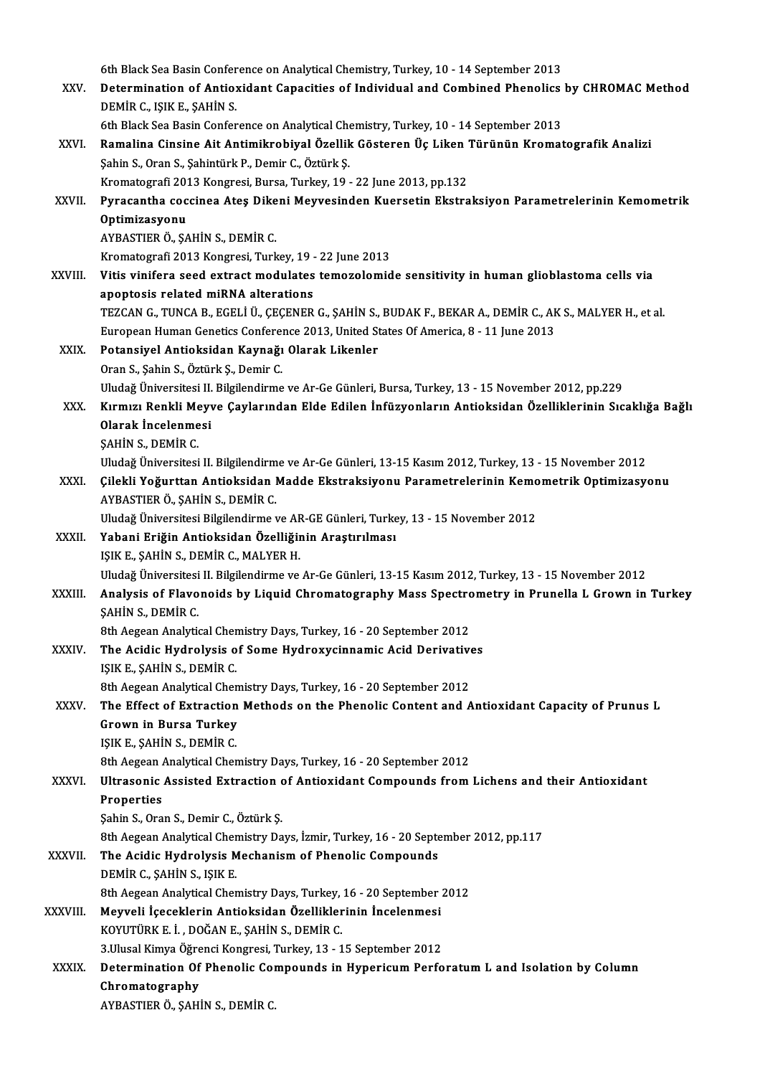6th Black Sea Basin Conference on Analytical Chemistry, Turkey, 10 - 14 September 2013<br>Determination of Antioxidant Conseities of Individual and Combined Phanaliss 6th Black Sea Basin Conference on Analytical Chemistry, Turkey, 10 - 14 September 2013<br>XXV. Determination of Antioxidant Capacities of Individual and Combined Phenolics by CHROMAC Method 6th Black Sea Basin Confer<br>Determination of Antio:<br>DEMİR C., IŞIK E., ŞAHİN S.<br>Eth Plack Sea Basin Confor Determination of Antioxidant Capacities of Individual and Combined Phenolics<br>DEMİR C., IŞIK E., ŞAHİN S.<br>6th Black Sea Basin Conference on Analytical Chemistry, Turkey, 10 - 14 September 2013<br>Pamalina Cinsina Ait Antimilyn DEMİR C., IŞIK E., ŞAHİN S.<br>6th Black Sea Basin Conference on Analytical Chemistry, Turkey, 10 - 14 September 2013<br>XXVI. Ramalina Cinsine Ait Antimikrobiyal Özellik Gösteren Üç Liken Türünün Kromatografik Analizi 6th Black Sea Basin Conference on Analytical Chemistry, Turkey, 10 - 14 September 2013<br>Ramalina Cinsine Ait Antimikrobiyal Özellik Gösteren Üç Liken Türünün Kroma<br>Şahin S., Oran S., Şahintürk P., Demir C., Öztürk Ş. Ramalina Cinsine Ait Antimikrobiyal Özellik Gösteren Üç Liken<br>Şahin S., Oran S., Şahintürk P., Demir C., Öztürk Ş.<br>Kromatografi 2013 Kongresi, Bursa, Turkey, 19 - 22 June 2013, pp.132<br>Bursaantha sassinaa Atas Dikani Mauyas XXVII. Pyracantha coccinea Ateş Dikeni Meyvesinden Kuersetin Ekstraksiyon Parametrelerinin Kemometrik<br>Optimizasyonu Kromatografi 2013 Kongresi, Bursa, Turkey, 19 - 22 June 2013, pp.132 AYBASTIERÖ.,ŞAHİNS.,DEMİRC. Optimizasyonu<br>AYBASTIER Ö., ŞAHİN S., DEMİR C.<br>Kromatografi 2013 Kongresi, Turkey, 19 - 22 June 2013<br>Vitis vinifore seed extrest modulates temerelemid XXVIII. Vitis vinifera seed extract modulates temozolomide sensitivity in human glioblastoma cells via<br>apoptosis related miRNA alterations Kromatografi 2013 Kongresi, Turkey, 19 -<br>Vitis vinifera seed extract modulates<br>apoptosis related miRNA alterations<br>TEZCAN C. TUNCA B. ECELLÜ, CECENED Vitis vinifera seed extract modulates temozolomide sensitivity in human glioblastoma cells via<br>apoptosis related miRNA alterations<br>TEZCAN G., TUNCA B., EGELİ Ü., ÇEÇENER G., ŞAHİN S., BUDAK F., BEKAR A., DEMİR C., AK S., M apoptosis related miRNA alterations<br>TEZCAN G., TUNCA B., EGELİ Ü., ÇEÇENER G., ŞAHİN S., BUDAK F., BEKAR A., DEMİR C., Ak<br>European Human Genetics Conference 2013, United States Of America, 8 - 11 June 2013<br>Petansivel Antio TEZCAN G., TUNCA B., EGELİ Ü., ÇEÇENER G., ŞAHİN S.,<br>European Human Genetics Conference 2013, United St<br>XXIX. Potansiyel Antioksidan Kaynağı Olarak Likenler<br>Oran S. Sobin S. Örtürk S. Domin G. European Human Genetics Conference 2013, United States Of America, 8 - 11 June 2013<br>Potansiyel Antioksidan Kaynağı Olarak Likenler<br>Oran S., Şahin S., Öztürk Ş., Demir C. Uludağ Üniversitesi II. Bilgilendirme ve Ar-Ge Günleri, Bursa, Turkey, 13 - 15 November 2012, pp.229 Oran S., Şahin S., Öztürk Ş., Demir C.<br>Uludağ Üniversitesi II. Bilgilendirme ve Ar-Ge Günleri, Bursa, Turkey, 13 - 15 November 2012, pp.229<br>XXX. Kırmızı Renkli Meyve Çaylarından Elde Edilen İnfüzyonların Antioksidan Öz Uludağ Üniversitesi II.<br>Kırmızı Renkli Meyv<br>Olarak İncelenmesi Kırmızı Renkli Me<br>Olarak İncelenme<br>ŞAHİN S., DEMİR C.<br>Illudağ Üniversitesi Olarak İncelenmesi<br>ŞAHİN S., DEMİR C.<br>Uludağ Üniversitesi II. Bilgilendirme ve Ar-Ge Günleri, 13-15 Kasım 2012, Turkey, 13 - 15 November 2012 ŞAHİN S., DEMİR C.<br>Uludağ Üniversitesi II. Bilgilendirme ve Ar-Ge Günleri, 13-15 Kasım 2012, Turkey, 13 - 15 November 2012<br>XXXI. Çilekli Yoğurttan Antioksidan Madde Ekstraksiyonu Parametrelerinin Kemometrik Optimizasyo Uludağ Üniversitesi II. Bilgilendirm<br>Çilekli Yoğurttan Antioksidan I<br>AYBASTIER Ö., ŞAHİN S., DEMİR C.<br>Uludağ Üniversitesi Bilgilendirme ı Çilekli Yoğurttan Antioksidan Madde Ekstraksiyonu Parametrelerinin Kemo<br>AYBASTIER Ö., ŞAHİN S., DEMİR C.<br>Uludağ Üniversitesi Bilgilendirme ve AR-GE Günleri, Turkey, 13 - 15 November 2012<br>Yahani Eriğin Antioksidan Özelliğin AYBASTIER Ö., ŞAHİN S., DEMİR C.<br>Uludağ Üniversitesi Bilgilendirme ve AR-GE Günleri, Turke<br>XXXII. Yabani Eriğin Antioksidan Özelliğinin Araştırılması<br>ISIK E. SAHİN S. DEMİR C. MALYER H Uludağ Üniversitesi Bilgilendirme ve AF<br>**Yabani Eriğin Antioksidan Özelliği**n<br>IŞIK E., ŞAHİN S., DEMİR C., MALYER H.<br>Illudağ Üniversitesi II. Bilgilendirme ve IŞIK E., ŞAHİN S., DEMİR C., MALYER H.<br>Uludağ Üniversitesi II. Bilgilendirme ve Ar-Ge Günleri, 13-15 Kasım 2012, Turkey, 13 - 15 November 2012 IŞIK E., ŞAHİN S., DEMİR C., MALYER H.<br>Uludağ Üniversitesi II. Bilgilendirme ve Ar-Ge Günleri, 13-15 Kasım 2012, Turkey, 13 - 15 November 2012<br>XXXIII. Analysis of Flavonoids by Liquid Chromatography Mass Spectrometry i Uludağ Üniversitesi<br>Analysis of Flavo<br>ŞAHİN S., DEMİR C.<br><sup>9th Agggan Analyti</sub></sup> Analysis of Flavonoids by Liquid Chromatography Mass Spectro<br>SAHİN S., DEMİR C.<br>8th Aegean Analytical Chemistry Days, Turkey, 16 - 20 September 2012<br>The Asidie Hydrolysis of Some Hydrowysinnemis Asid Deniyatiyy SAHIN S., DEMIR C.<br>8th Aegean Analytical Chemistry Days, Turkey, 16 - 20 September 2012<br>XXXIV. The Acidic Hydrolysis of Some Hydroxycinnamic Acid Derivatives 8th Aegean Analytical Cher<br>The Acidic Hydrolysis o<br>IŞIK E., ŞAHİN S., DEMİR C.<br><sup>9th Aggean Analytical Cher</sup> The Acidic Hydrolysis of Some Hydroxycinnamic Acid Derivative<br>IŞIK E., ŞAHİN S., DEMİR C.<br>8th Aegean Analytical Chemistry Days, Turkey, 16 - 20 September 2012<br>The Effect of Eutrestian Methods on the Phanalis Contant and A IŞIK E., ŞAHİN S., DEMİR C.<br>8th Aegean Analytical Chemistry Days, Turkey, 16 - 20 September 2012<br>XXXV. The Effect of Extraction Methods on the Phenolic Content and Antioxidant Capacity of Prunus L.<br>Crown in Burse Turke **8th Aegean Analytical Chen<br>The Effect of Extraction<br>Grown in Bursa Turkey<br>ISIKE SAHINS DEMID C** The Effect of Extraction<br>Grown in Bursa Turkey<br>IŞIK E., ŞAHİN S., DEMİR C.<br><sup>9th Aggaan Analytical Char</sup> Grown in Bursa Turkey<br>IŞIK E., ŞAHİN S., DEMİR C.<br>8th Aegean Analytical Chemistry Days, Turkey, 16 - 20 September 2012<br>Illtresonis Assisted Extraction of Antioxidant Compounds from IŞIK E., ŞAHİN S., DEMİR C.<br>8th Aegean Analytical Chemistry Days, Turkey, 16 - 20 September 2012<br>XXXVI. Ultrasonic Assisted Extraction of Antioxidant Compounds from Lichens and their Antioxidant<br>Properties 8th Aegean<br>Ultrasonic<br>Properties<br>Sobin S. Ora ŞahinS.,OranS.,Demir C.,ÖztürkŞ. Properties<br>Şahin S., Oran S., Demir C., Öztürk Ş.<br>8th Aegean Analytical Chemistry Days, İzmir, Turkey, 16 - 20 September 2012, pp.117<br>The Asidis Hydrolysis Meshanism of Phanalis Compounds Sahin S., Oran S., Demir C., Öztürk Ş.<br>8th Aegean Analytical Chemistry Days, İzmir, Turkey, 16 - 20 Septe<br>XXXVII. The Acidic Hydrolysis Mechanism of Phenolic Compounds<br>REMIR G. SAHIN S. ISIK E 8th Aegean Analytical Cher<br>The Acidic Hydrolysis M<br>DEMİR C., ŞAHİN S., IŞIK E.<br>8th Asgean Analytical Cher The Acidic Hydrolysis Mechanism of Phenolic Compounds<br>DEMIR C., ŞAHİN S., IŞIK E.<br>8th Aegean Analytical Chemistry Days. Turkey, 16 - 20 September 2012 XXXVIII. Meyveli İçeceklerin Antioksidan Özelliklerinin İncelenmesi KOYUTÜRKE. İ. ,DOĞANE.,ŞAHİNS.,DEMİRC. Meyveli İçeceklerin Antioksidan Özelliklerinin İncelenmesi<br>KOYUTÜRK E. İ. , DOĞAN E., ŞAHİN S., DEMİR C.<br>3.Ulusal Kimya Öğrenci Kongresi, Turkey, 13 - 15 September 2012<br>Determination Of Bhanalia Camnounda in Hunoriaum Barf XXXIX. Determination Of Phenolic Compounds in Hypericum Perforatum L and Isolation by Column<br>Chromatography **3.Ulusal Kimya Öğre<br>Determination Of<br>Chromatography**<br>AVPASTIED Ö. SAHİ AYBASTIERÖ.,ŞAHİNS.,DEMİRC.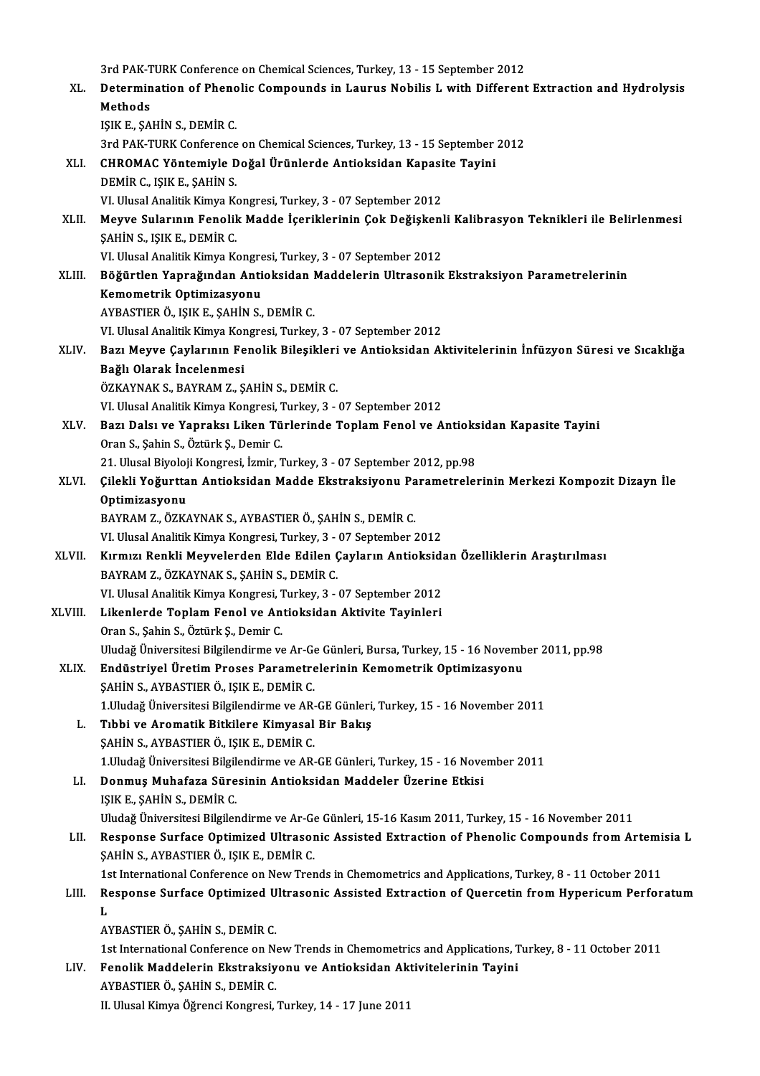3rd PAK-TURK Conference on Chemical Sciences, Turkey, 13 - 15 September 2012<br>Determination of Phonolia Compounds in Lourus Nobilia Luvith Different

|         | 3rd PAK-TURK Conference on Chemical Sciences, Turkey, 13 - 15 September 2012                                                       |
|---------|------------------------------------------------------------------------------------------------------------------------------------|
| XL.     | Determination of Phenolic Compounds in Laurus Nobilis L with Different Extraction and Hydrolysis                                   |
|         | Methods                                                                                                                            |
|         | IŞIK E., ŞAHİN S., DEMİR C.                                                                                                        |
|         | 3rd PAK-TURK Conference on Chemical Sciences, Turkey, 13 - 15 September 2012                                                       |
| XLI.    | CHROMAC Yöntemiyle Doğal Ürünlerde Antioksidan Kapasite Tayini                                                                     |
|         | DEMİR C., IŞIK E., ŞAHİN S.                                                                                                        |
|         | VI. Ulusal Analitik Kimya Kongresi, Turkey, 3 - 07 September 2012                                                                  |
| XLII.   | Meyve Sularının Fenolik Madde İçeriklerinin Çok Değişkenli Kalibrasyon Teknikleri ile Belirlenmesi                                 |
|         | ŞAHİN S, IŞIK E, DEMİR C.                                                                                                          |
|         | VI. Ulusal Analitik Kimya Kongresi, Turkey, 3 - 07 September 2012                                                                  |
| XLIII.  | Böğürtlen Yaprağından Antioksidan Maddelerin Ultrasonik Ekstraksiyon Parametrelerinin                                              |
|         | Kemometrik Optimizasyonu                                                                                                           |
|         | AYBASTIER Ö., IŞIK E., ŞAHİN S., DEMİR C.                                                                                          |
|         | VI. Ulusal Analitik Kimya Kongresi, Turkey, 3 - 07 September 2012                                                                  |
| XLIV.   | Bazı Meyve Çaylarının Fenolik Bileşikleri ve Antioksidan Aktivitelerinin İnfüzyon Süresi ve Sıcaklığa                              |
|         | Bağlı Olarak İncelenmesi<br>ÖZKAYNAK S., BAYRAM Z., ŞAHİN S., DEMİR C.                                                             |
|         | VI. Ulusal Analitik Kimya Kongresi, Turkey, 3 - 07 September 2012                                                                  |
| XLV.    | Bazı Dalsı ve Yapraksı Liken Türlerinde Toplam Fenol ve Antioksidan Kapasite Tayini                                                |
|         | Oran S., Şahin S., Öztürk Ş., Demir C.                                                                                             |
|         | 21. Ulusal Biyoloji Kongresi, İzmir, Turkey, 3 - 07 September 2012, pp.98                                                          |
| XLVI.   | Çilekli Yoğurttan Antioksidan Madde Ekstraksiyonu Parametrelerinin Merkezi Kompozit Dizayn İle                                     |
|         | Optimizasyonu                                                                                                                      |
|         | BAYRAM Z., ÖZKAYNAK S., AYBASTIER Ö., ŞAHİN S., DEMİR C.                                                                           |
|         | VI. Ulusal Analitik Kimya Kongresi, Turkey, 3 - 07 September 2012                                                                  |
| XLVII.  | Kırmızı Renkli Meyvelerden Elde Edilen Çayların Antioksidan Özelliklerin Araştırılması                                             |
|         | BAYRAM Z., ÖZKAYNAK S., ŞAHİN S., DEMİR C.                                                                                         |
|         | VI. Ulusal Analitik Kimya Kongresi, Turkey, 3 - 07 September 2012                                                                  |
| XLVIII. | Likenlerde Toplam Fenol ve Antioksidan Aktivite Tayinleri                                                                          |
|         | Oran S., Şahin S., Öztürk Ş., Demir C.                                                                                             |
|         | Uludağ Üniversitesi Bilgilendirme ve Ar-Ge Günleri, Bursa, Turkey, 15 - 16 November 2011, pp.98                                    |
| XLIX.   | Endüstriyel Üretim Proses Parametrelerinin Kemometrik Optimizasyonu                                                                |
|         | ŞAHİN S., AYBASTIER Ö., IŞIK E., DEMİR C.                                                                                          |
|         | 1. Uludağ Üniversitesi Bilgilendirme ve AR-GE Günleri, Turkey, 15 - 16 November 2011                                               |
| L.      | Tıbbi ve Aromatik Bitkilere Kimyasal Bir Bakış                                                                                     |
|         | ŞAHİN S., AYBASTIER Ö., IŞIK E., DEMİR C.                                                                                          |
|         | 1. Uludağ Üniversitesi Bilgilendirme ve AR-GE Günleri, Turkey, 15 - 16 November 2011                                               |
| LI.     | Donmuş Muhafaza Süresinin Antioksidan Maddeler Üzerine Etkisi                                                                      |
|         | IŞIK E., ŞAHİN S., DEMİR C.<br>Uludağ Üniversitesi Bilgilendirme ve Ar-Ge Günleri, 15-16 Kasım 2011, Turkey, 15 - 16 November 2011 |
| LII.    | Response Surface Optimized Ultrasonic Assisted Extraction of Phenolic Compounds from Artemisia L                                   |
|         | ŞAHİN S., AYBASTIER Ö., IŞIK E., DEMİR C.                                                                                          |
|         | 1st International Conference on New Trends in Chemometrics and Applications, Turkey, 8 - 11 October 2011                           |
| LIII.   | Response Surface Optimized Ultrasonic Assisted Extraction of Quercetin from Hypericum Perforatum                                   |
|         | L                                                                                                                                  |
|         | AYBASTIER Ö., ŞAHİN S., DEMİR C.                                                                                                   |
|         | 1st International Conference on New Trends in Chemometrics and Applications, Turkey, 8 - 11 October 2011                           |
| LIV.    | Fenolik Maddelerin Ekstraksiyonu ve Antioksidan Aktivitelerinin Tayini                                                             |
|         | AYBASTIER Ö., ŞAHİN S., DEMİR C.                                                                                                   |
|         | II. Ulusal Kimya Öğrenci Kongresi, Turkey, 14 - 17 June 2011                                                                       |
|         |                                                                                                                                    |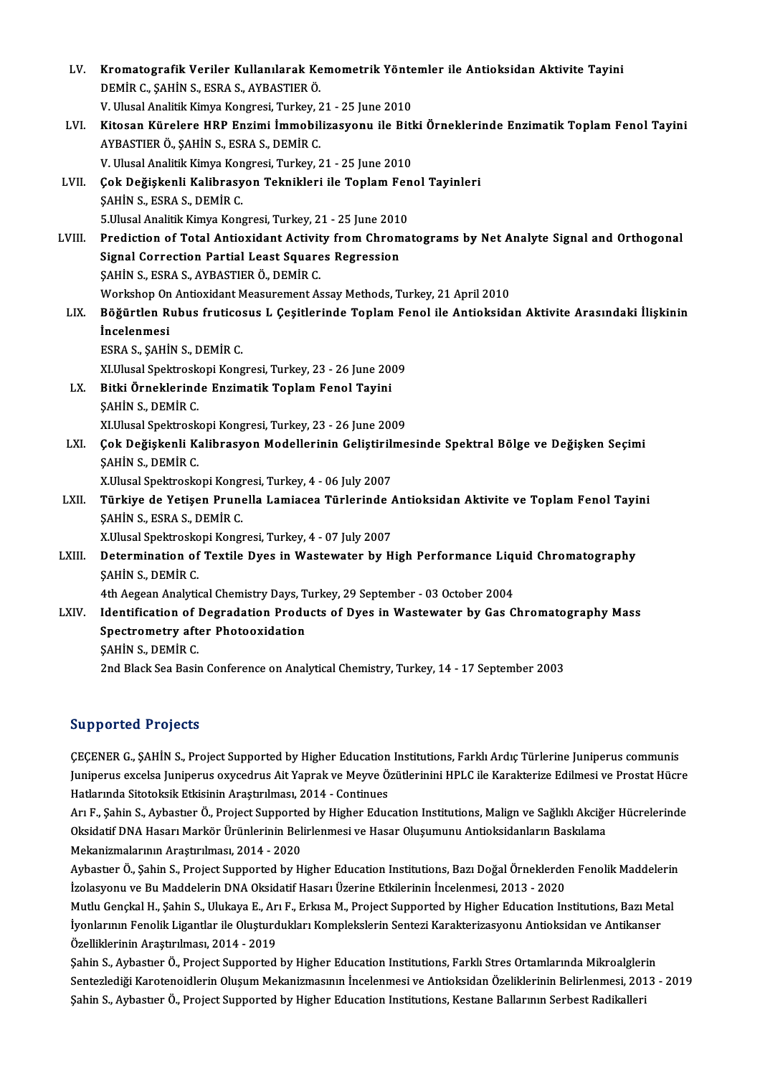| LV.    | Kromatografik Veriler Kullanılarak Kemometrik Yöntemler ile Antioksidan Aktivite Tayini              |
|--------|------------------------------------------------------------------------------------------------------|
|        | DEMİR C., ŞAHİN S., ESRA S., AYBASTIER Ö.                                                            |
|        | V. Ulusal Analitik Kimya Kongresi, Turkey, 21 - 25 June 2010                                         |
| LVI.   | Kitosan Kürelere HRP Enzimi İmmobilizasyonu ile Bitki Örneklerinde Enzimatik Toplam Fenol Tayini     |
|        | AYBASTIER Ö., ŞAHİN S., ESRA S., DEMİR C.                                                            |
|        | V. Ulusal Analitik Kimya Kongresi, Turkey, 21 - 25 June 2010                                         |
| LVII.  | Çok Değişkenli Kalibrasyon Teknikleri ile Toplam Fenol Tayinleri                                     |
|        | ŞAHİN S., ESRA S., DEMİR C.                                                                          |
|        | 5 Ulusal Analitik Kimya Kongresi, Turkey, 21 - 25 June 2010                                          |
| LVIII. | Prediction of Total Antioxidant Activity from Chromatograms by Net Analyte Signal and Orthogonal     |
|        | <b>Signal Correction Partial Least Squares Regression</b>                                            |
|        | ŞAHİN S., ESRA S., AYBASTIER Ö., DEMİR C.                                                            |
|        | Workshop On Antioxidant Measurement Assay Methods, Turkey, 21 April 2010                             |
| LIX.   | Böğürtlen Rubus fruticosus L Çeşitlerinde Toplam Fenol ile Antioksidan Aktivite Arasındaki İlişkinin |
|        | <i>incelenmesi</i>                                                                                   |
|        | ESRA S., ŞAHİN S., DEMİR C.                                                                          |
|        | XI.Ulusal Spektroskopi Kongresi, Turkey, 23 - 26 June 2009                                           |
| LX.    | Bitki Örneklerinde Enzimatik Toplam Fenol Tayini                                                     |
|        | ŞAHİN S., DEMİR C.                                                                                   |
|        | XI.Ulusal Spektroskopi Kongresi, Turkey, 23 - 26 June 2009                                           |
| LXI.   | Çok Değişkenli Kalibrasyon Modellerinin Geliştirilmesinde Spektral Bölge ve Değişken Seçimi          |
|        | ŞAHIN S, DEMIR C                                                                                     |
|        | X.Ulusal Spektroskopi Kongresi, Turkey, 4 - 06 July 2007                                             |
| LXII.  | Türkiye de Yetişen Prunella Lamiacea Türlerinde Antioksidan Aktivite ve Toplam Fenol Tayini          |
|        | <b>ŞAHİN S., ESRA S., DEMİR C.</b>                                                                   |
|        | X Ulusal Spektroskopi Kongresi, Turkey, 4 - 07 July 2007                                             |
| LXIII. | Determination of Textile Dyes in Wastewater by High Performance Liquid Chromatography                |
|        | SAHIN S., DEMIR C.                                                                                   |
|        | 4th Aegean Analytical Chemistry Days, Turkey, 29 September - 03 October 2004                         |
| LXIV.  | Identification of Degradation Products of Dyes in Wastewater by Gas Chromatography Mass              |
|        | Spectrometry after Photooxidation                                                                    |
|        | <b>SAHIN S, DEMIR C</b>                                                                              |
|        | 2nd Black Sea Basin Conference on Analytical Chemistry, Turkey, 14 - 17 September 2003               |
|        |                                                                                                      |

### Supported Projects

ÇEÇENERG.,ŞAHİNS.,ProjectSupported byHigher EducationInstitutions,FarklıArdıçTürlerine Juniperus communis Julpportion in ofsold.<br>ÇEÇENER G., ŞAHİN S., Project Supported by Higher Education Institutions, Farklı Ardıç Türlerine Juniperus communis<br>Juniperus excelsa Juniperus oxycedrus Ait Yaprak ve Meyve Özütlerinini HPLC ile Kar ÇEÇENER G., ŞAHİN S., Project Supported by Higher Education<br>Juniperus excelsa Juniperus oxycedrus Ait Yaprak ve Meyve Ö<br>Hatlarında Sitotoksik Etkisinin Araştırılması, 2014 - Continues<br>Arı E. Sabin S. Aybester Ö. Project Su Juniperus excelsa Juniperus oxycedrus Ait Yaprak ve Meyve Özütlerinini HPLC ile Karakterize Edilmesi ve Prostat Hücre<br>Hatlarında Sitotoksik Etkisinin Araştırılması, 2014 - Continues<br>Arı F., Şahin S., Aybastıer Ö., Project

Hatlarında Sitotoksik Etkisinin Araştırılması, 2014 - Continues<br>Arı F., Şahin S., Aybastıer Ö., Project Supported by Higher Education Institutions, Malign ve Sağlıklı Akciğe<br>Oksidatif DNA Hasarı Markör Ürünlerinin Belirlen Arı F., Şahin S., Aybastıer Ö., Project Supporte<br>Oksidatif DNA Hasarı Markör Ürünlerinin Bel:<br>Mekanizmalarının Araştırılması, 2014 - 2020<br>Aybastıar Ö. Sahin S. Project Supported by H Oksidatif DNA Hasarı Markör Ürünlerinin Belirlenmesi ve Hasar Oluşumunu Antioksidanların Baskılama<br>Mekanizmalarının Araştırılması, 2014 - 2020<br>Aybastıer Ö., Şahin S., Project Supported by Higher Education Institutions, Baz

Mekanizmalarının Araştırılması, 2014 - 2020<br>Aybastıer Ö., Şahin S., Project Supported by Higher Education Institutions, Bazı Doğal Örneklerde<br>İzolasyonu ve Bu Maddelerin DNA Oksidatif Hasarı Üzerine Etkilerinin İncelenmesi Aybastıer Ö., Şahin S., Project Supported by Higher Education Institutions, Bazı Doğal Örneklerden Fenolik Maddelerir<br>İzolasyonu ve Bu Maddelerin DNA Oksidatif Hasarı Üzerine Etkilerinin İncelenmesi, 2013 - 2020<br>Mutlu Genç İzolasyonu ve Bu Maddelerin DNA Oksidatif Hasarı Üzerine Etkilerinin İncelenmesi, 2013 - 2020<br>Mutlu Gençkal H., Şahin S., Ulukaya E., Arı F., Erkısa M., Project Supported by Higher Education Institutions, Bazı Metal<br>İyonla İyonlarının Fenolik Ligantlar ile Oluşturdukları Komplekslerin Sentezi Karakterizasyonu Antioksidan ve Antikanser

Şahin S., Aybastıer Ö., Project Supported by Higher Education Institutions, Farklı Stres Ortamlarında Mikroalglerin Özelliklerinin Araştırılması, 2014 - 2019<br>Şahin S., Aybastıer Ö., Project Supported by Higher Education Institutions, Farklı Stres Ortamlarında Mikroalglerin<br>Sentezlediği Karotenoidlerin Oluşum Mekanizmasının İncelenmesi v Şahin S., Aybastıer Ö., Project Supported by Higher Education Institutions, Farklı Stres Ortamlarında Mikroalgler<br>Sentezlediği Karotenoidlerin Oluşum Mekanizmasının İncelenmesi ve Antioksidan Özeliklerinin Belirlenmesi, 20